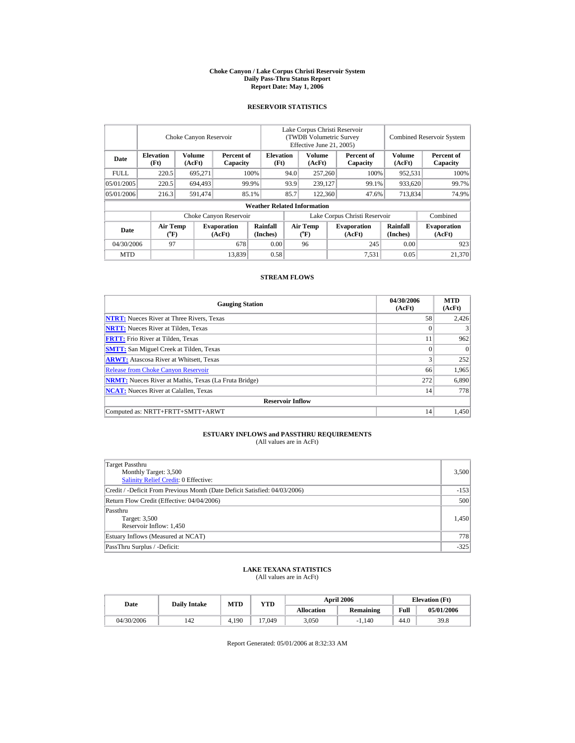#### **Choke Canyon / Lake Corpus Christi Reservoir System Daily Pass-Thru Status Report Report Date: May 1, 2006**

### **RESERVOIR STATISTICS**

|             | Choke Canyon Reservoir                |                  |                              |                                    | Lake Corpus Christi Reservoir<br>(TWDB Volumetric Survey<br>Effective June 21, 2005) |                                             |  |                               |                      | <b>Combined Reservoir System</b> |
|-------------|---------------------------------------|------------------|------------------------------|------------------------------------|--------------------------------------------------------------------------------------|---------------------------------------------|--|-------------------------------|----------------------|----------------------------------|
| Date        | <b>Elevation</b><br>(Ft)              | Volume<br>(AcFt) | Percent of<br>Capacity       | <b>Elevation</b><br>(Ft)           |                                                                                      | Volume<br>(AcFt)                            |  | Percent of<br>Capacity        | Volume<br>(AcFt)     | Percent of<br>Capacity           |
| <b>FULL</b> | 220.5                                 | 695.271          |                              | 100%                               |                                                                                      | 257,260                                     |  | 100%                          | 952.531              | 100%                             |
| 05/01/2005  | 220.5                                 | 694.493          |                              | 99.9%                              | 93.9                                                                                 | 239,127                                     |  | 99.1%                         | 933,620              | 99.7%                            |
| 05/01/2006  | 216.3                                 | 591,474          |                              | 85.1%                              | 85.7                                                                                 | 122,360                                     |  | 47.6%                         | 713,834              | 74.9%                            |
|             |                                       |                  |                              | <b>Weather Related Information</b> |                                                                                      |                                             |  |                               |                      |                                  |
|             |                                       |                  | Choke Canyon Reservoir       |                                    |                                                                                      |                                             |  | Lake Corpus Christi Reservoir |                      | Combined                         |
| Date        | <b>Air Temp</b><br>$({}^o\mathrm{F})$ |                  | <b>Evaporation</b><br>(AcFt) | Rainfall<br>(Inches)               |                                                                                      | <b>Air Temp</b><br>$({}^{\circ}\mathrm{F})$ |  | <b>Evaporation</b><br>(AcFt)  | Rainfall<br>(Inches) | <b>Evaporation</b><br>(AcFt)     |
| 04/30/2006  | 97                                    |                  | 678                          | 0.00                               |                                                                                      | 96                                          |  | 245                           | 0.00                 | 923                              |
| <b>MTD</b>  |                                       |                  | 13,839                       | 0.58                               |                                                                                      |                                             |  | 7,531                         | 0.05                 | 21,370                           |

#### **STREAM FLOWS**

| <b>Gauging Station</b>                                       | 04/30/2006<br>(AcFt) | <b>MTD</b><br>(AcFt) |
|--------------------------------------------------------------|----------------------|----------------------|
| <b>NTRT:</b> Nueces River at Three Rivers, Texas             | 58                   | 2.426                |
| <b>NRTT:</b> Nueces River at Tilden, Texas                   | $\Omega$             |                      |
| <b>FRTT:</b> Frio River at Tilden, Texas                     | 11                   | 962                  |
| <b>SMTT:</b> San Miguel Creek at Tilden, Texas               | $\Omega$             | $\Omega$             |
| <b>ARWT:</b> Atascosa River at Whitsett, Texas               | 3                    | 252                  |
| <b>Release from Choke Canyon Reservoir</b>                   | 66                   | 1.965                |
| <b>NRMT:</b> Nueces River at Mathis, Texas (La Fruta Bridge) | 272                  | 6,890                |
| <b>NCAT:</b> Nueces River at Calallen, Texas                 | 14                   | 778                  |
| <b>Reservoir Inflow</b>                                      |                      |                      |
| Computed as: NRTT+FRTT+SMTT+ARWT                             | 14                   | 1.450                |

## **ESTUARY INFLOWS and PASSTHRU REQUIREMENTS**<br>(All values are in AcFt)

| Target Passthru<br>Monthly Target: 3,500<br>Salinity Relief Credit: 0 Effective: | 3,500  |
|----------------------------------------------------------------------------------|--------|
| Credit / -Deficit From Previous Month (Date Deficit Satisfied: 04/03/2006)       | $-153$ |
| Return Flow Credit (Effective: 04/04/2006)                                       | 500    |
| Passthru<br>Target: 3,500<br>Reservoir Inflow: 1,450                             | 1,450  |
| Estuary Inflows (Measured at NCAT)                                               | 778    |
| PassThru Surplus / -Deficit:                                                     | $-325$ |

## **LAKE TEXANA STATISTICS** (All values are in AcFt)

| Date       | <b>Daily Intake</b> | <b>MTD</b> | <b>YTD</b> |                   | <b>April 2006</b> | <b>Elevation</b> (Ft) |            |
|------------|---------------------|------------|------------|-------------------|-------------------|-----------------------|------------|
|            |                     |            |            | <b>Allocation</b> | Remaining         | Full                  | 05/01/2006 |
| 04/30/2006 | 142                 | 4.190      | 17.049     | 3.050             | $-1.140$          | 44.0                  | 39.8       |

Report Generated: 05/01/2006 at 8:32:33 AM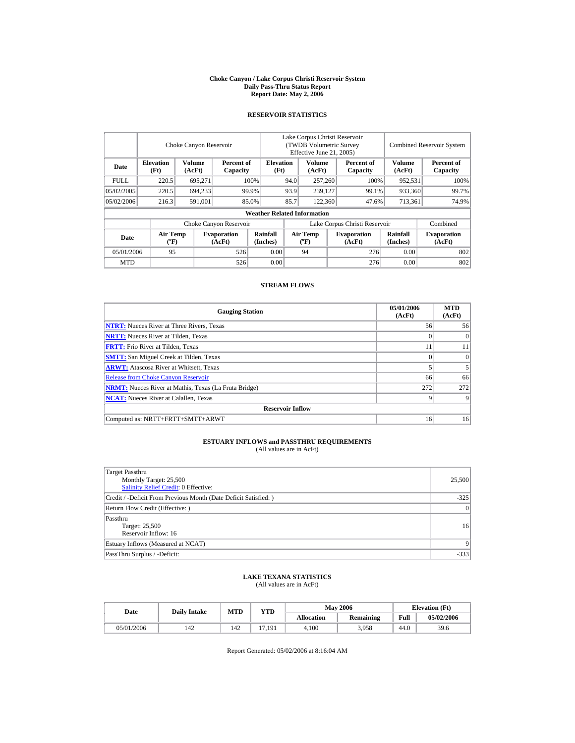#### **Choke Canyon / Lake Corpus Christi Reservoir System Daily Pass-Thru Status Report Report Date: May 2, 2006**

## **RESERVOIR STATISTICS**

|            |                                      | Choke Canyon Reservoir |                              |                                    | Lake Corpus Christi Reservoir<br>(TWDB Volumetric Survey)<br>Effective June 21, 2005) |                                |  |                               |                         | <b>Combined Reservoir System</b> |
|------------|--------------------------------------|------------------------|------------------------------|------------------------------------|---------------------------------------------------------------------------------------|--------------------------------|--|-------------------------------|-------------------------|----------------------------------|
| Date       | <b>Elevation</b><br>(Ft)             | Volume<br>(AcFt)       | Percent of<br>Capacity       | <b>Elevation</b><br>(Ft)           |                                                                                       | <b>Volume</b><br>(AcFt)        |  | Percent of<br>Capacity        | <b>Volume</b><br>(AcFt) | Percent of<br>Capacity           |
| FULL.      | 220.5                                | 695.271                |                              | 100%                               | 94.0                                                                                  | 257,260                        |  | 100%                          | 952.531                 | 100%                             |
| 05/02/2005 | 220.5                                | 694.233                |                              | 99.9%                              | 93.9                                                                                  | 239.127                        |  | 99.1%                         | 933.360                 | 99.7%                            |
| 05/02/2006 | 216.3                                | 591.001                |                              | 85.0%                              | 85.7                                                                                  | 122,360                        |  | 47.6%                         | 713,361                 | 74.9%                            |
|            |                                      |                        |                              | <b>Weather Related Information</b> |                                                                                       |                                |  |                               |                         |                                  |
|            |                                      |                        | Choke Canyon Reservoir       |                                    |                                                                                       |                                |  | Lake Corpus Christi Reservoir |                         | Combined                         |
| Date       | Air Temp<br>$({}^{\circ}\mathrm{F})$ |                        | <b>Evaporation</b><br>(AcFt) | Rainfall<br>(Inches)               |                                                                                       | Air Temp<br>$({}^o\mathrm{F})$ |  | <b>Evaporation</b><br>(AcFt)  | Rainfall<br>(Inches)    | <b>Evaporation</b><br>(AcFt)     |
| 05/01/2006 | 95                                   |                        | 526                          | 0.00                               |                                                                                       | 94                             |  | 276                           | 0.00                    | 802                              |
| <b>MTD</b> |                                      |                        | 526                          | 0.00                               |                                                                                       |                                |  | 276                           | 0.00                    | 802                              |

### **STREAM FLOWS**

| <b>Gauging Station</b>                                       | 05/01/2006<br>(AcFt) | <b>MTD</b><br>(AcFt) |
|--------------------------------------------------------------|----------------------|----------------------|
| <b>NTRT:</b> Nueces River at Three Rivers, Texas             | 56                   | 56                   |
| <b>NRTT:</b> Nueces River at Tilden, Texas                   | $\Omega$             | $\Omega$             |
| <b>FRTT:</b> Frio River at Tilden, Texas                     | 11                   | 11                   |
| <b>SMTT:</b> San Miguel Creek at Tilden, Texas               | $\Omega$             | $\Omega$             |
| <b>ARWT:</b> Atascosa River at Whitsett, Texas               |                      |                      |
| <b>Release from Choke Canyon Reservoir</b>                   | 66                   | 66                   |
| <b>NRMT:</b> Nueces River at Mathis, Texas (La Fruta Bridge) | 272                  | 272                  |
| <b>NCAT:</b> Nueces River at Calallen, Texas                 | Q                    | Q                    |
| <b>Reservoir Inflow</b>                                      |                      |                      |
| Computed as: NRTT+FRTT+SMTT+ARWT                             | 16                   | 16                   |

## **ESTUARY INFLOWS and PASSTHRU REQUIREMENTS**<br>(All values are in AcFt)

| Target Passthru<br>Monthly Target: 25,500<br><b>Salinity Relief Credit: 0 Effective:</b> | 25,500          |
|------------------------------------------------------------------------------------------|-----------------|
| Credit / -Deficit From Previous Month (Date Deficit Satisfied: )                         | $-325$          |
| Return Flow Credit (Effective: )                                                         | $\vert 0 \vert$ |
| Passthru<br>Target: 25,500<br>Reservoir Inflow: 16                                       | 16              |
| Estuary Inflows (Measured at NCAT)                                                       | 9 <sup>1</sup>  |
| PassThru Surplus / -Deficit:                                                             | $-333$          |

## **LAKE TEXANA STATISTICS** (All values are in AcFt)

| Date       | <b>Daily Intake</b> | <b>MTD</b> | <b>YTD</b> |            | <b>May 2006</b>  | <b>Elevation</b> (Ft) |            |
|------------|---------------------|------------|------------|------------|------------------|-----------------------|------------|
|            |                     |            |            | Allocation | <b>Remaining</b> | Full                  | 05/02/2006 |
| 05/01/2006 | 142                 | 142        | 7.191      | 4.100      | 3.958            | 44.0                  | 39.6       |

Report Generated: 05/02/2006 at 8:16:04 AM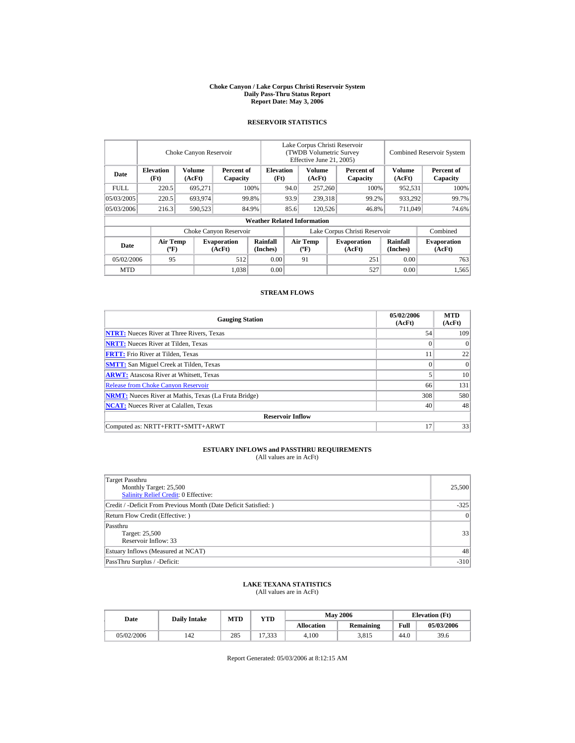#### **Choke Canyon / Lake Corpus Christi Reservoir System Daily Pass-Thru Status Report Report Date: May 3, 2006**

### **RESERVOIR STATISTICS**

|            | Choke Canyon Reservoir                      |                  |                              |                                    | Lake Corpus Christi Reservoir<br>(TWDB Volumetric Survey<br>Effective June 21, 2005) |                                             |  |                              | <b>Combined Reservoir System</b> |                              |  |
|------------|---------------------------------------------|------------------|------------------------------|------------------------------------|--------------------------------------------------------------------------------------|---------------------------------------------|--|------------------------------|----------------------------------|------------------------------|--|
| Date       | <b>Elevation</b><br>(Ft)                    | Volume<br>(AcFt) | Percent of<br>Capacity       | <b>Elevation</b><br>(Ft)           |                                                                                      | Volume<br>(AcFt)                            |  | Percent of<br>Capacity       | Volume<br>(AcFt)                 | Percent of<br>Capacity       |  |
| FULL.      | 220.5                                       | 695,271          |                              | 100\%                              | 94.0                                                                                 | 257,260                                     |  | 100%                         | 952,531                          | 100%                         |  |
| 05/03/2005 | 220.5                                       | 693,974          |                              | 99.8%                              | 93.9                                                                                 | 239,318                                     |  | 99.2%                        | 933,292                          | 99.7%                        |  |
| 05/03/2006 | 216.3                                       | 590,523          |                              | 84.9%                              | 85.6                                                                                 | 120,526                                     |  | 46.8%                        | 711.049                          | 74.6%                        |  |
|            |                                             |                  |                              | <b>Weather Related Information</b> |                                                                                      |                                             |  |                              |                                  |                              |  |
|            |                                             |                  | Choke Canyon Reservoir       |                                    | Lake Corpus Christi Reservoir                                                        |                                             |  |                              |                                  | Combined                     |  |
| Date       | <b>Air Temp</b><br>$({}^{\circ}\mathrm{F})$ |                  | <b>Evaporation</b><br>(AcFt) | Rainfall<br>(Inches)               |                                                                                      | <b>Air Temp</b><br>$({}^{\circ}\mathbf{F})$ |  | <b>Evaporation</b><br>(AcFt) | <b>Rainfall</b><br>(Inches)      | <b>Evaporation</b><br>(AcFt) |  |
| 05/02/2006 | 95                                          |                  | 512                          | 0.00                               |                                                                                      | 91                                          |  | 251                          | 0.00                             | 763                          |  |
| <b>MTD</b> |                                             |                  | 1,038                        | 0.00                               |                                                                                      |                                             |  | 527                          | 0.00                             | 1,565                        |  |

### **STREAM FLOWS**

| <b>Gauging Station</b>                                       | 05/02/2006<br>(AcFt) | <b>MTD</b><br>(AcFt) |
|--------------------------------------------------------------|----------------------|----------------------|
| <b>NTRT:</b> Nueces River at Three Rivers, Texas             | 54                   | 109                  |
| <b>NRTT:</b> Nueces River at Tilden, Texas                   |                      | 0                    |
| <b>FRTT:</b> Frio River at Tilden, Texas                     | 11                   | 22                   |
| <b>SMTT:</b> San Miguel Creek at Tilden, Texas               | $\theta$             | $\Omega$             |
| <b>ARWT:</b> Atascosa River at Whitsett, Texas               |                      | 10                   |
| <b>Release from Choke Canyon Reservoir</b>                   | 66                   | 131                  |
| <b>NRMT:</b> Nueces River at Mathis, Texas (La Fruta Bridge) | 308                  | 580                  |
| <b>NCAT:</b> Nueces River at Calallen, Texas                 | 40                   | 48                   |
| <b>Reservoir Inflow</b>                                      |                      |                      |
| Computed as: NRTT+FRTT+SMTT+ARWT                             | 17                   | 33                   |

# **ESTUARY INFLOWS and PASSTHRU REQUIREMENTS**<br>(All values are in AcFt)

| Target Passthru<br>Monthly Target: 25,500<br><b>Salinity Relief Credit: 0 Effective:</b> | 25,500         |
|------------------------------------------------------------------------------------------|----------------|
| Credit / -Deficit From Previous Month (Date Deficit Satisfied:)                          | $-325$         |
| Return Flow Credit (Effective: )                                                         | $\overline{0}$ |
| Passthru<br>Target: 25,500<br>Reservoir Inflow: 33                                       | 33             |
| Estuary Inflows (Measured at NCAT)                                                       | 48             |
| PassThru Surplus / -Deficit:                                                             | $-310$         |

## **LAKE TEXANA STATISTICS**

(All values are in AcFt)

| Date       | <b>Daily Intake</b> | <b>MTD</b> | YTD    |                   | <b>May 2006</b> | <b>Elevation</b> (Ft) |            |
|------------|---------------------|------------|--------|-------------------|-----------------|-----------------------|------------|
|            |                     |            |        | <b>Allocation</b> | Remaining       | Full                  | 05/03/2006 |
| 05/02/2006 | 142                 | 285        | 17,333 | 4.100             | 3,815           | 44.0                  | 39.6       |

Report Generated: 05/03/2006 at 8:12:15 AM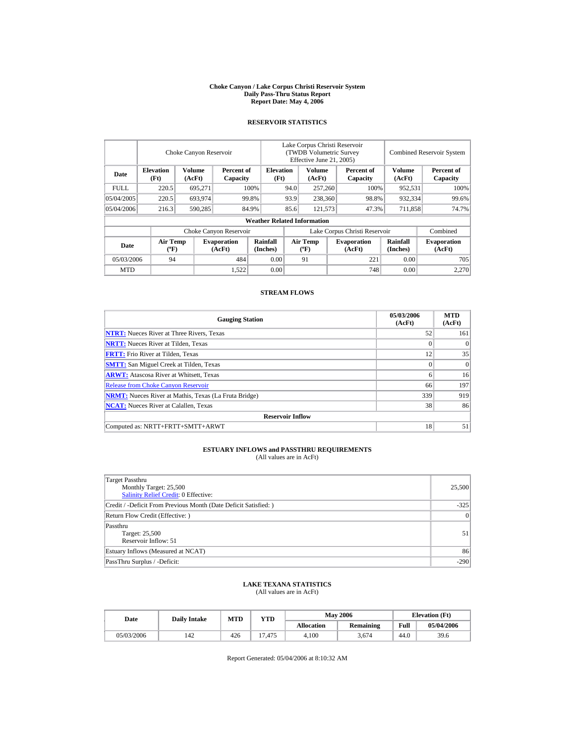#### **Choke Canyon / Lake Corpus Christi Reservoir System Daily Pass-Thru Status Report Report Date: May 4, 2006**

### **RESERVOIR STATISTICS**

|             | Choke Canyon Reservoir                      |                  |                              |                                    | Lake Corpus Christi Reservoir<br><b>(TWDB Volumetric Survey)</b><br>Effective June 21, 2005) |                                                                             |  |                             |                              | <b>Combined Reservoir System</b> |  |  |
|-------------|---------------------------------------------|------------------|------------------------------|------------------------------------|----------------------------------------------------------------------------------------------|-----------------------------------------------------------------------------|--|-----------------------------|------------------------------|----------------------------------|--|--|
| Date        | <b>Elevation</b><br>(Ft)                    | Volume<br>(AcFt) | Percent of<br>Capacity       | <b>Elevation</b><br>(Ft)           |                                                                                              | Volume<br>(AcFt)                                                            |  | Percent of<br>Capacity      | <b>Volume</b><br>(AcFt)      | Percent of<br>Capacity           |  |  |
| <b>FULL</b> | 220.5                                       | 695,271          |                              | 100%                               | 94.0                                                                                         | 257,260                                                                     |  | 100%                        | 952,531                      | 100%                             |  |  |
| 05/04/2005  | 220.5                                       | 693,974          |                              | 99.8%                              | 93.9                                                                                         | 238,360                                                                     |  | 98.8%                       | 932,334                      | 99.6%                            |  |  |
| 05/04/2006  | 216.3                                       | 590,285          |                              | 84.9%                              | 85.6                                                                                         | 121,573                                                                     |  | 47.3%                       | 711,858                      | 74.7%                            |  |  |
|             |                                             |                  |                              | <b>Weather Related Information</b> |                                                                                              |                                                                             |  |                             |                              |                                  |  |  |
|             |                                             |                  | Choke Canyon Reservoir       |                                    | Lake Corpus Christi Reservoir                                                                |                                                                             |  |                             |                              | Combined                         |  |  |
| Date        | <b>Air Temp</b><br>$({}^{\circ}\mathrm{F})$ |                  | <b>Evaporation</b><br>(AcFt) | Rainfall<br>(Inches)               |                                                                                              | <b>Air Temp</b><br><b>Evaporation</b><br>(AcFt)<br>$({}^{\circ}\mathbf{F})$ |  | <b>Rainfall</b><br>(Inches) | <b>Evaporation</b><br>(AcFt) |                                  |  |  |
| 05/03/2006  | 94                                          |                  | 484                          | 0.00                               |                                                                                              | 91                                                                          |  | 221                         | 0.00                         | 705                              |  |  |
| <b>MTD</b>  |                                             |                  | 1,522                        | 0.00                               |                                                                                              |                                                                             |  | 748                         | 0.00                         | 2.270                            |  |  |

### **STREAM FLOWS**

| <b>Gauging Station</b>                                       | 05/03/2006<br>(AcFt) | <b>MTD</b><br>(AcFt) |
|--------------------------------------------------------------|----------------------|----------------------|
| <b>NTRT:</b> Nueces River at Three Rivers, Texas             | 52                   | 161                  |
| <b>NRTT:</b> Nueces River at Tilden, Texas                   |                      | 0                    |
| <b>FRTT:</b> Frio River at Tilden, Texas                     | 12                   | 35                   |
| <b>SMTT:</b> San Miguel Creek at Tilden, Texas               | $\Omega$             | $\Omega$             |
| <b>ARWT:</b> Atascosa River at Whitsett, Texas               | 6                    | 16                   |
| <b>Release from Choke Canyon Reservoir</b>                   | 66                   | 197                  |
| <b>NRMT:</b> Nueces River at Mathis, Texas (La Fruta Bridge) | 339                  | 919                  |
| <b>NCAT:</b> Nueces River at Calallen, Texas                 | 38                   | 86                   |
| <b>Reservoir Inflow</b>                                      |                      |                      |
| Computed as: NRTT+FRTT+SMTT+ARWT                             | 18                   | 51                   |

# **ESTUARY INFLOWS and PASSTHRU REQUIREMENTS**<br>(All values are in AcFt)

| Target Passthru<br>Monthly Target: 25,500<br><b>Salinity Relief Credit: 0 Effective:</b> | 25,500         |
|------------------------------------------------------------------------------------------|----------------|
| Credit / -Deficit From Previous Month (Date Deficit Satisfied:)                          | $-325$         |
| Return Flow Credit (Effective: )                                                         | $\overline{0}$ |
| Passthru<br>Target: 25,500<br>Reservoir Inflow: 51                                       | 51             |
| Estuary Inflows (Measured at NCAT)                                                       | 86             |
| PassThru Surplus / -Deficit:                                                             | $-290$         |

## **LAKE TEXANA STATISTICS**

(All values are in AcFt)

| Date       | <b>Daily Intake</b> | <b>MTD</b> | YTD    |                   | <b>May 2006</b>  | <b>Elevation</b> (Ft) |            |
|------------|---------------------|------------|--------|-------------------|------------------|-----------------------|------------|
|            |                     |            |        | <b>Allocation</b> | <b>Remaining</b> | Full                  | 05/04/2006 |
| 05/03/2006 | 142                 | 426        | 17.475 | 4.100             | 3.674            | 44.0                  | 39.6       |

Report Generated: 05/04/2006 at 8:10:32 AM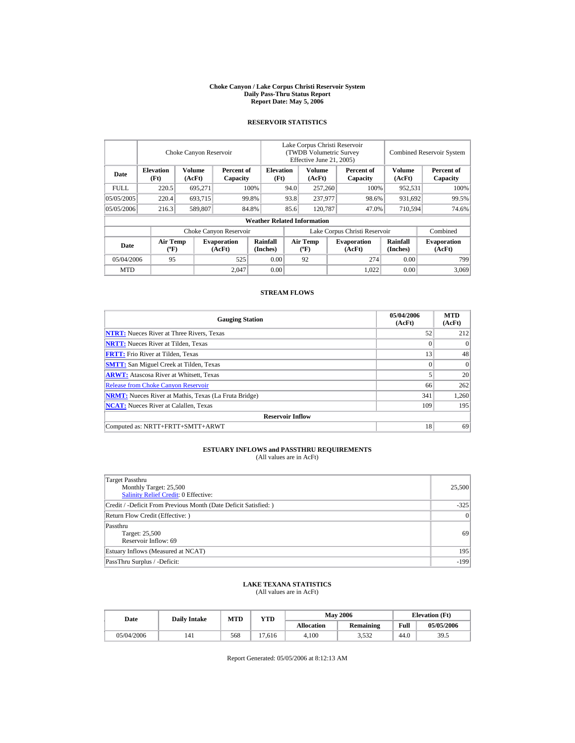#### **Choke Canyon / Lake Corpus Christi Reservoir System Daily Pass-Thru Status Report Report Date: May 5, 2006**

### **RESERVOIR STATISTICS**

|             |                                             | Choke Canyon Reservoir |                              |                                    |                                                                             | Lake Corpus Christi Reservoir<br><b>(TWDB Volumetric Survey)</b><br>Effective June 21, 2005) |                             |                              |                         | <b>Combined Reservoir System</b> |
|-------------|---------------------------------------------|------------------------|------------------------------|------------------------------------|-----------------------------------------------------------------------------|----------------------------------------------------------------------------------------------|-----------------------------|------------------------------|-------------------------|----------------------------------|
| Date        | <b>Elevation</b><br>(Ft)                    | Volume<br>(AcFt)       | Percent of<br>Capacity       | <b>Elevation</b><br>(Ft)           |                                                                             | Volume<br>(AcFt)                                                                             |                             | Percent of<br>Capacity       | <b>Volume</b><br>(AcFt) | Percent of<br>Capacity           |
| <b>FULL</b> | 220.5                                       | 695,271                |                              | 100%                               | 94.0                                                                        | 257,260                                                                                      |                             | 100%                         | 952,531                 | 100%                             |
| 05/05/2005  | 220.4                                       | 693,715                |                              | 99.8%                              | 93.8                                                                        | 237,977                                                                                      |                             | 98.6%                        | 931,692                 | 99.5%                            |
| 05/05/2006  | 216.3                                       | 589,807                |                              | 84.8%                              | 85.6                                                                        | 120,787                                                                                      |                             | 47.0%                        | 710,594                 | 74.6%                            |
|             |                                             |                        |                              | <b>Weather Related Information</b> |                                                                             |                                                                                              |                             |                              |                         |                                  |
|             |                                             |                        | Choke Canyon Reservoir       |                                    | Lake Corpus Christi Reservoir                                               |                                                                                              |                             |                              |                         | Combined                         |
| Date        | <b>Air Temp</b><br>$({}^{\circ}\mathrm{F})$ |                        | <b>Evaporation</b><br>(AcFt) | Rainfall<br>(Inches)               | <b>Air Temp</b><br><b>Evaporation</b><br>(AcFt)<br>$({}^{\circ}\mathbf{F})$ |                                                                                              | <b>Rainfall</b><br>(Inches) | <b>Evaporation</b><br>(AcFt) |                         |                                  |
| 05/04/2006  | 95                                          |                        | 525                          | 0.00                               |                                                                             | 92                                                                                           |                             | 274                          | 0.00                    | 799                              |
| <b>MTD</b>  |                                             |                        | 2.047                        | 0.00                               |                                                                             |                                                                                              |                             | 1.022                        | 0.00                    | 3.069                            |

### **STREAM FLOWS**

| <b>Gauging Station</b>                                       | 05/04/2006<br>(AcFt) | <b>MTD</b><br>(AcFt) |
|--------------------------------------------------------------|----------------------|----------------------|
| <b>NTRT:</b> Nueces River at Three Rivers, Texas             | 52                   | 212                  |
| <b>NRTT:</b> Nueces River at Tilden, Texas                   | $\mathbf{0}$         | $\Omega$             |
| <b>FRTT:</b> Frio River at Tilden, Texas                     | 13                   | 48                   |
| <b>SMTT:</b> San Miguel Creek at Tilden, Texas               | $\theta$             | $\Omega$             |
| <b>ARWT:</b> Atascosa River at Whitsett, Texas               |                      | 20 <sup>1</sup>      |
| <b>Release from Choke Canyon Reservoir</b>                   | 66                   | 262                  |
| <b>NRMT:</b> Nueces River at Mathis, Texas (La Fruta Bridge) | 341                  | 1,260                |
| <b>NCAT:</b> Nueces River at Calallen, Texas                 | 109                  | 195                  |
| <b>Reservoir Inflow</b>                                      |                      |                      |
| Computed as: NRTT+FRTT+SMTT+ARWT                             | 18                   | 69                   |

# **ESTUARY INFLOWS and PASSTHRU REQUIREMENTS**<br>(All values are in AcFt)

| Target Passthru<br>Monthly Target: 25,500<br><b>Salinity Relief Credit: 0 Effective:</b> | 25,500         |
|------------------------------------------------------------------------------------------|----------------|
| Credit / -Deficit From Previous Month (Date Deficit Satisfied:)                          | $-325$         |
| Return Flow Credit (Effective: )                                                         | $\overline{0}$ |
| Passthru<br>Target: 25,500<br>Reservoir Inflow: 69                                       | 69             |
| Estuary Inflows (Measured at NCAT)                                                       | 195            |
| PassThru Surplus / -Deficit:                                                             | $-199$         |

## **LAKE TEXANA STATISTICS**

(All values are in AcFt)

| Date       | <b>Daily Intake</b> | MTD | <b>YTD</b> |                   | <b>May 2006</b>  | <b>Elevation</b> (Ft) |            |
|------------|---------------------|-----|------------|-------------------|------------------|-----------------------|------------|
|            |                     |     |            | <b>Allocation</b> | <b>Remaining</b> | Full                  | 05/05/2006 |
| 05/04/2006 | 141                 | 568 | '7.616     | 4.100             | 3,532            | 44.0                  | 39.5       |

Report Generated: 05/05/2006 at 8:12:13 AM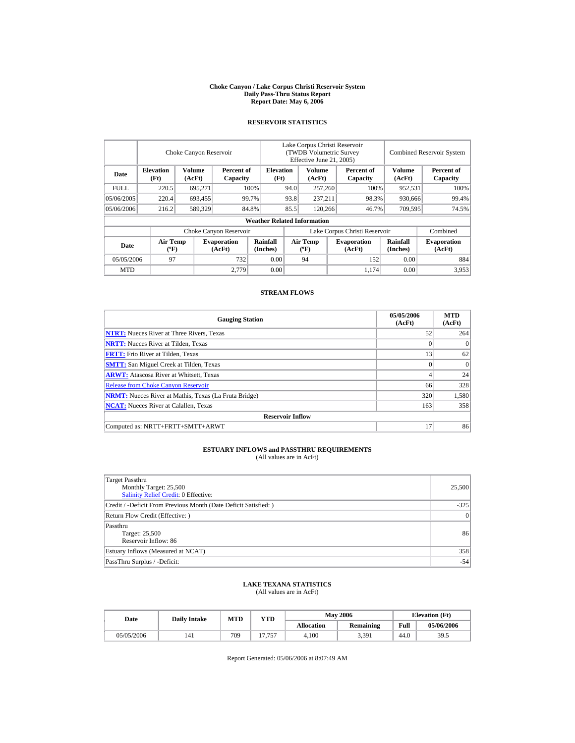#### **Choke Canyon / Lake Corpus Christi Reservoir System Daily Pass-Thru Status Report Report Date: May 6, 2006**

### **RESERVOIR STATISTICS**

|             |                                             | Choke Canyon Reservoir |                              |                                    |                               | Lake Corpus Christi Reservoir<br><b>(TWDB Volumetric Survey)</b><br>Effective June 21, 2005) |                              |                        |                             | <b>Combined Reservoir System</b> |
|-------------|---------------------------------------------|------------------------|------------------------------|------------------------------------|-------------------------------|----------------------------------------------------------------------------------------------|------------------------------|------------------------|-----------------------------|----------------------------------|
| Date        | <b>Elevation</b><br>(Ft)                    | Volume<br>(AcFt)       | Percent of<br>Capacity       | <b>Elevation</b><br>(Ft)           |                               | Volume<br>(AcFt)                                                                             |                              | Percent of<br>Capacity | <b>Volume</b><br>(AcFt)     | Percent of<br>Capacity           |
| <b>FULL</b> | 220.5                                       | 695,271                |                              | 100%                               | 94.0                          | 257,260                                                                                      |                              | 100%                   | 952,531                     | 100%                             |
| 05/06/2005  | 220.4                                       | 693,455                |                              | 99.7%                              | 93.8                          | 237.211                                                                                      |                              | 98.3%                  | 930,666                     | 99.4%                            |
| 05/06/2006  | 216.2                                       | 589,329                |                              | 84.8%                              | 85.5                          | 120,266                                                                                      |                              | 46.7%                  | 709,595                     | 74.5%                            |
|             |                                             |                        |                              | <b>Weather Related Information</b> |                               |                                                                                              |                              |                        |                             |                                  |
|             |                                             |                        | Choke Canyon Reservoir       |                                    | Lake Corpus Christi Reservoir |                                                                                              |                              |                        |                             | Combined                         |
| Date        | <b>Air Temp</b><br>$({}^{\circ}\mathrm{F})$ |                        | <b>Evaporation</b><br>(AcFt) | Rainfall<br>(Inches)               |                               | <b>Air Temp</b><br>$({}^{\circ}\mathbf{F})$                                                  | <b>Evaporation</b><br>(AcFt) |                        | <b>Rainfall</b><br>(Inches) | <b>Evaporation</b><br>(AcFt)     |
| 05/05/2006  | 97                                          |                        | 732                          | 0.00                               |                               | 94                                                                                           |                              | 152                    | 0.00                        | 884                              |
| <b>MTD</b>  |                                             |                        | 2.779                        | 0.00                               |                               |                                                                                              |                              | 1,174                  | 0.00                        | 3,953                            |

### **STREAM FLOWS**

| <b>Gauging Station</b>                                       | 05/05/2006<br>(AcFt) | <b>MTD</b><br>(AcFt) |
|--------------------------------------------------------------|----------------------|----------------------|
| <b>NTRT:</b> Nueces River at Three Rivers, Texas             | 52                   | 264                  |
| <b>NRTT:</b> Nueces River at Tilden, Texas                   | $\mathbf{0}$         | $\Omega$             |
| <b>FRTT:</b> Frio River at Tilden, Texas                     | 13                   | 62                   |
| <b>SMTT:</b> San Miguel Creek at Tilden, Texas               | $\theta$             | $\Omega$             |
| <b>ARWT:</b> Atascosa River at Whitsett, Texas               | 4                    | 24                   |
| <b>Release from Choke Canyon Reservoir</b>                   | 66                   | 328                  |
| <b>NRMT:</b> Nueces River at Mathis, Texas (La Fruta Bridge) | 320                  | 1,580                |
| <b>NCAT:</b> Nueces River at Calallen, Texas                 | 163                  | 358                  |
| <b>Reservoir Inflow</b>                                      |                      |                      |
| Computed as: NRTT+FRTT+SMTT+ARWT                             | 17                   | 86                   |

# **ESTUARY INFLOWS and PASSTHRU REQUIREMENTS**<br>(All values are in AcFt)

| Target Passthru<br>Monthly Target: 25,500<br><b>Salinity Relief Credit: 0 Effective:</b> | 25,500         |
|------------------------------------------------------------------------------------------|----------------|
| Credit / -Deficit From Previous Month (Date Deficit Satisfied:)                          | $-325$         |
| Return Flow Credit (Effective: )                                                         | $\overline{0}$ |
| Passthru<br>Target: 25,500<br>Reservoir Inflow: 86                                       | 86             |
| Estuary Inflows (Measured at NCAT)                                                       | 358            |
| PassThru Surplus / -Deficit:                                                             | $-54$          |

## **LAKE TEXANA STATISTICS**

(All values are in AcFt)

| Date |            | <b>Daily Intake</b> | <b>MTD</b> | YTD    |                   | <b>May 2006</b>  | <b>Elevation</b> (Ft) |            |
|------|------------|---------------------|------------|--------|-------------------|------------------|-----------------------|------------|
|      |            |                     |            |        | <b>Allocation</b> | <b>Remaining</b> | Full                  | 05/06/2006 |
|      | 05/05/2006 | 141                 | 709        | 17.757 | 4.100             | 3,391            | 44.0                  | 39.5       |

Report Generated: 05/06/2006 at 8:07:49 AM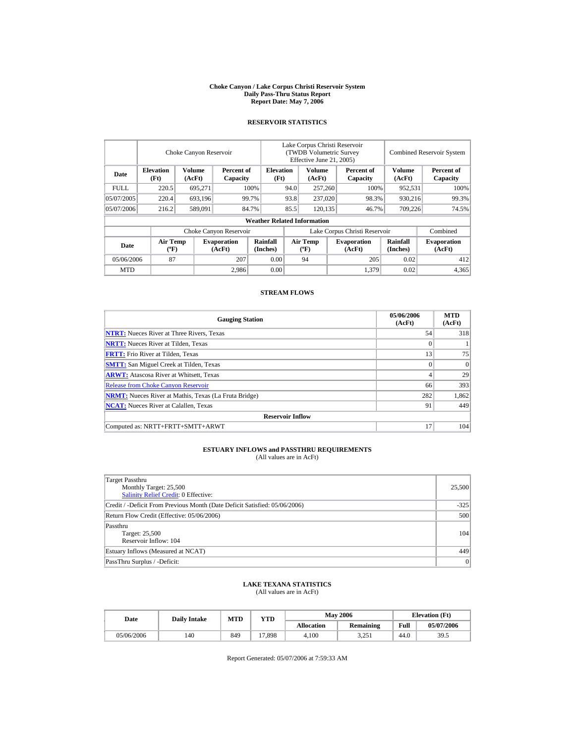#### **Choke Canyon / Lake Corpus Christi Reservoir System Daily Pass-Thru Status Report Report Date: May 7, 2006**

### **RESERVOIR STATISTICS**

|            | Choke Canyon Reservoir                      |                  |                              |                                    | Lake Corpus Christi Reservoir<br>(TWDB Volumetric Survey<br>Effective June 21, 2005) |                                  |  |                              | <b>Combined Reservoir System</b> |                              |  |
|------------|---------------------------------------------|------------------|------------------------------|------------------------------------|--------------------------------------------------------------------------------------|----------------------------------|--|------------------------------|----------------------------------|------------------------------|--|
| Date       | <b>Elevation</b><br>(Ft)                    | Volume<br>(AcFt) | Percent of<br>Capacity       | <b>Elevation</b><br>(Ft)           |                                                                                      | Volume<br>(AcFt)                 |  | Percent of<br>Capacity       | Volume<br>(AcFt)                 | Percent of<br>Capacity       |  |
| FULL.      | 220.5                                       | 695,271          |                              | 100\%                              | 94.0                                                                                 | 257,260                          |  | 100%                         | 952,531                          | 100%                         |  |
| 05/07/2005 | 220.4                                       | 693,196          |                              | 99.7%                              | 93.8                                                                                 | 237,020                          |  | 98.3%                        | 930,216                          | 99.3%                        |  |
| 05/07/2006 | 216.2                                       | 589,091          |                              | 84.7%                              | 85.5                                                                                 | 120.135                          |  | 46.7%                        | 709.226                          | 74.5%                        |  |
|            |                                             |                  |                              | <b>Weather Related Information</b> |                                                                                      |                                  |  |                              |                                  |                              |  |
|            |                                             |                  | Choke Canyon Reservoir       |                                    | Lake Corpus Christi Reservoir                                                        |                                  |  |                              |                                  | Combined                     |  |
| Date       | <b>Air Temp</b><br>$({}^{\circ}\mathrm{F})$ |                  | <b>Evaporation</b><br>(AcFt) | Rainfall<br>(Inches)               |                                                                                      | <b>Air Temp</b><br>$(^{\circ}F)$ |  | <b>Evaporation</b><br>(AcFt) | <b>Rainfall</b><br>(Inches)      | <b>Evaporation</b><br>(AcFt) |  |
| 05/06/2006 | 87                                          |                  | 207                          | 0.00                               |                                                                                      | 94                               |  | 205                          | 0.02                             | 412                          |  |
| <b>MTD</b> |                                             |                  | 2.986                        | 0.00                               |                                                                                      |                                  |  | 1,379                        | 0.02                             | 4,365                        |  |

### **STREAM FLOWS**

| <b>Gauging Station</b>                                       | 05/06/2006<br>(AcFt) | <b>MTD</b><br>(AcFt) |
|--------------------------------------------------------------|----------------------|----------------------|
| <b>NTRT:</b> Nueces River at Three Rivers, Texas             | 54                   | 318                  |
| <b>NRTT:</b> Nueces River at Tilden, Texas                   | 0                    |                      |
| <b>FRTT:</b> Frio River at Tilden, Texas                     | 13                   | 75                   |
| <b>SMTT:</b> San Miguel Creek at Tilden, Texas               | $\Omega$             | $\Omega$             |
| <b>ARWT:</b> Atascosa River at Whitsett, Texas               |                      | 29                   |
| <b>Release from Choke Canyon Reservoir</b>                   | 66                   | 393                  |
| <b>NRMT:</b> Nueces River at Mathis, Texas (La Fruta Bridge) | 282                  | 1,862                |
| <b>NCAT:</b> Nueces River at Calallen, Texas                 | 91                   | 449                  |
| <b>Reservoir Inflow</b>                                      |                      |                      |
| Computed as: NRTT+FRTT+SMTT+ARWT                             | 17                   | 104                  |

# **ESTUARY INFLOWS and PASSTHRU REQUIREMENTS**<br>(All values are in AcFt)

| Target Passthru<br>Monthly Target: 25,500<br><b>Salinity Relief Credit: 0 Effective:</b> | 25,500 |
|------------------------------------------------------------------------------------------|--------|
| Credit / -Deficit From Previous Month (Date Deficit Satisfied: 05/06/2006)               | $-325$ |
| Return Flow Credit (Effective: 05/06/2006)                                               | 500    |
| Passthru<br>Target: 25,500<br>Reservoir Inflow: 104                                      | 104    |
| Estuary Inflows (Measured at NCAT)                                                       | 449    |
| PassThru Surplus / -Deficit:                                                             | 0      |

## **LAKE TEXANA STATISTICS**

(All values are in AcFt)

| Date       | <b>Daily Intake</b> | <b>MTD</b> | YTD    |                   | <b>May 2006</b> | <b>Elevation</b> (Ft) |            |
|------------|---------------------|------------|--------|-------------------|-----------------|-----------------------|------------|
|            |                     |            |        | <b>Allocation</b> | Remaining       | Full                  | 05/07/2006 |
| 05/06/2006 | 140                 | 849        | 17,898 | 4.100             | 3.251           | 44.0                  | 39.5       |

Report Generated: 05/07/2006 at 7:59:33 AM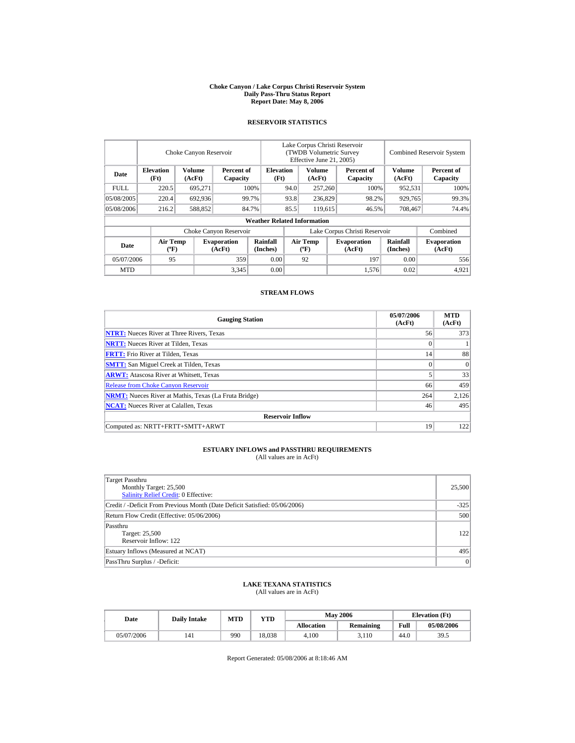#### **Choke Canyon / Lake Corpus Christi Reservoir System Daily Pass-Thru Status Report Report Date: May 8, 2006**

### **RESERVOIR STATISTICS**

|             | Choke Canyon Reservoir                      |                  |                              |                                    | Lake Corpus Christi Reservoir<br>(TWDB Volumetric Survey<br>Effective June 21, 2005) |                                  |  |                              | <b>Combined Reservoir System</b> |                              |  |
|-------------|---------------------------------------------|------------------|------------------------------|------------------------------------|--------------------------------------------------------------------------------------|----------------------------------|--|------------------------------|----------------------------------|------------------------------|--|
| Date        | <b>Elevation</b><br>(Ft)                    | Volume<br>(AcFt) | Percent of<br>Capacity       | <b>Elevation</b><br>(Ft)           |                                                                                      | Volume<br>(AcFt)                 |  | Percent of<br>Capacity       | Volume<br>(AcFt)                 | Percent of<br>Capacity       |  |
| <b>FULL</b> | 220.5                                       | 695,271          |                              | 100\%                              | 94.0                                                                                 | 257,260                          |  | 100%                         | 952,531                          | 100%                         |  |
| 05/08/2005  | 220.4                                       | 692,936          |                              | 99.7%                              | 93.8                                                                                 | 236,829                          |  | 98.2%                        | 929,765                          | 99.3%                        |  |
| 05/08/2006  | 216.2                                       | 588,852          |                              | 84.7%                              | 85.5                                                                                 | 119.615                          |  | 46.5%                        | 708,467                          | 74.4%                        |  |
|             |                                             |                  |                              | <b>Weather Related Information</b> |                                                                                      |                                  |  |                              |                                  |                              |  |
|             |                                             |                  | Choke Canyon Reservoir       |                                    | Lake Corpus Christi Reservoir                                                        |                                  |  |                              |                                  | Combined                     |  |
| Date        | <b>Air Temp</b><br>$({}^{\circ}\mathrm{F})$ |                  | <b>Evaporation</b><br>(AcFt) | Rainfall<br>(Inches)               |                                                                                      | <b>Air Temp</b><br>$(^{\circ}F)$ |  | <b>Evaporation</b><br>(AcFt) | <b>Rainfall</b><br>(Inches)      | <b>Evaporation</b><br>(AcFt) |  |
| 05/07/2006  | 95                                          |                  | 359                          | 0.00                               |                                                                                      | 92                               |  | 197                          | 0.00                             | 556                          |  |
| <b>MTD</b>  |                                             |                  | 3,345                        | 0.00                               |                                                                                      |                                  |  | 1,576                        | 0.02                             | 4,921                        |  |

### **STREAM FLOWS**

| <b>Gauging Station</b>                                       | 05/07/2006<br>(AcFt) | <b>MTD</b><br>(AcFt) |
|--------------------------------------------------------------|----------------------|----------------------|
| <b>NTRT:</b> Nueces River at Three Rivers, Texas             | 56                   | 373                  |
| <b>NRTT:</b> Nueces River at Tilden, Texas                   | $\bf{0}$             |                      |
| <b>FRTT:</b> Frio River at Tilden, Texas                     | 14                   | 88                   |
| <b>SMTT:</b> San Miguel Creek at Tilden, Texas               | $\Omega$             | $\Omega$             |
| <b>ARWT:</b> Atascosa River at Whitsett, Texas               |                      | 33                   |
| <b>Release from Choke Canyon Reservoir</b>                   | 66                   | 459                  |
| <b>NRMT:</b> Nueces River at Mathis, Texas (La Fruta Bridge) | 264                  | 2,126                |
| <b>NCAT:</b> Nueces River at Calallen, Texas                 | 46                   | 495                  |
| <b>Reservoir Inflow</b>                                      |                      |                      |
| Computed as: NRTT+FRTT+SMTT+ARWT                             | 19                   | 122                  |

# **ESTUARY INFLOWS and PASSTHRU REQUIREMENTS**<br>(All values are in AcFt)

| Target Passthru<br>Monthly Target: 25,500<br><b>Salinity Relief Credit: 0 Effective:</b> | 25,500 |
|------------------------------------------------------------------------------------------|--------|
| Credit / -Deficit From Previous Month (Date Deficit Satisfied: 05/06/2006)               | $-325$ |
| Return Flow Credit (Effective: 05/06/2006)                                               | 500    |
| Passthru<br>Target: 25,500<br>Reservoir Inflow: 122                                      | 122    |
| Estuary Inflows (Measured at NCAT)                                                       | 495    |
| PassThru Surplus / -Deficit:                                                             | 0      |

## **LAKE TEXANA STATISTICS**

(All values are in AcFt)

| Date       | <b>Daily Intake</b> | <b>MTD</b> | YTD    |                   | <b>May 2006</b> | <b>Elevation</b> (Ft) |            |
|------------|---------------------|------------|--------|-------------------|-----------------|-----------------------|------------|
|            |                     |            |        | <b>Allocation</b> | Remaining       | Full                  | 05/08/2006 |
| 05/07/2006 | 141                 | 990        | 18.038 | 4.100             | 3.110           | 44.0                  | 39.5       |

Report Generated: 05/08/2006 at 8:18:46 AM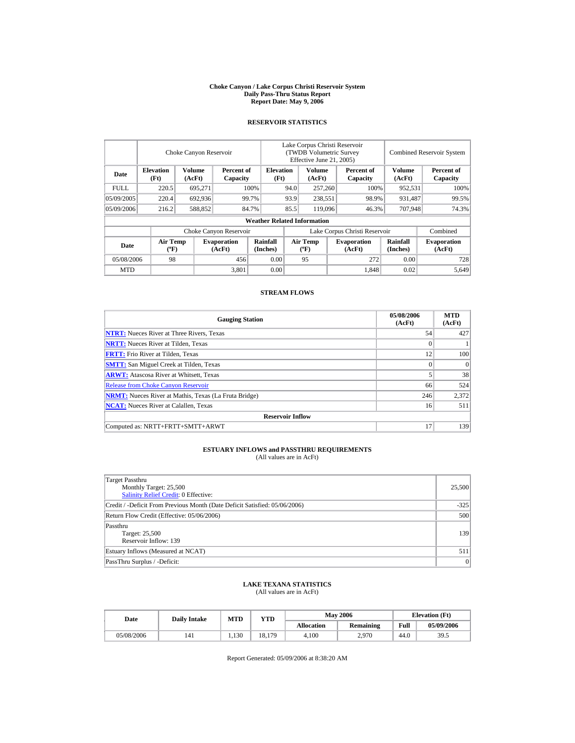#### **Choke Canyon / Lake Corpus Christi Reservoir System Daily Pass-Thru Status Report Report Date: May 9, 2006**

### **RESERVOIR STATISTICS**

|            | Choke Canyon Reservoir                      |                  |                              |                                    | Lake Corpus Christi Reservoir<br>(TWDB Volumetric Survey<br>Effective June 21, 2005) |                                  |  |                              | <b>Combined Reservoir System</b> |                              |  |
|------------|---------------------------------------------|------------------|------------------------------|------------------------------------|--------------------------------------------------------------------------------------|----------------------------------|--|------------------------------|----------------------------------|------------------------------|--|
| Date       | <b>Elevation</b><br>(Ft)                    | Volume<br>(AcFt) | Percent of<br>Capacity       | <b>Elevation</b><br>(Ft)           |                                                                                      | Volume<br>(AcFt)                 |  | Percent of<br>Capacity       | Volume<br>(AcFt)                 | Percent of<br>Capacity       |  |
| FULL.      | 220.5                                       | 695,271          |                              | 100\%                              | 94.0                                                                                 | 257,260                          |  | 100%                         | 952,531                          | 100%                         |  |
| 05/09/2005 | 220.4                                       | 692,936          |                              | 99.7%                              | 93.9                                                                                 | 238,551                          |  | 98.9%                        | 931,487                          | 99.5%                        |  |
| 05/09/2006 | 216.2                                       | 588,852          |                              | 84.7%                              | 85.5                                                                                 | 119,096                          |  | 46.3%                        | 707.948                          | 74.3%                        |  |
|            |                                             |                  |                              | <b>Weather Related Information</b> |                                                                                      |                                  |  |                              |                                  |                              |  |
|            |                                             |                  | Choke Canyon Reservoir       |                                    | Lake Corpus Christi Reservoir                                                        |                                  |  |                              |                                  | Combined                     |  |
| Date       | <b>Air Temp</b><br>$({}^{\circ}\mathrm{F})$ |                  | <b>Evaporation</b><br>(AcFt) | Rainfall<br>(Inches)               |                                                                                      | <b>Air Temp</b><br>$(^{\circ}F)$ |  | <b>Evaporation</b><br>(AcFt) | <b>Rainfall</b><br>(Inches)      | <b>Evaporation</b><br>(AcFt) |  |
| 05/08/2006 | 98                                          |                  | 456                          | 0.00                               |                                                                                      | 95                               |  | 272                          | 0.00                             | 728                          |  |
| <b>MTD</b> |                                             |                  | 3,801                        | 0.00                               |                                                                                      |                                  |  | 1.848                        | 0.02                             | 5.649                        |  |

### **STREAM FLOWS**

| <b>Gauging Station</b>                                       | 05/08/2006<br>(AcFt) | <b>MTD</b><br>(AcFt) |
|--------------------------------------------------------------|----------------------|----------------------|
| <b>NTRT:</b> Nueces River at Three Rivers, Texas             | 54                   | 427                  |
| <b>NRTT:</b> Nueces River at Tilden, Texas                   | $\mathbf{0}$         |                      |
| <b>FRTT:</b> Frio River at Tilden, Texas                     | 12                   | 100                  |
| <b>SMTT:</b> San Miguel Creek at Tilden, Texas               | $\theta$             | $\Omega$             |
| <b>ARWT:</b> Atascosa River at Whitsett, Texas               |                      | 38                   |
| <b>Release from Choke Canyon Reservoir</b>                   | 66                   | 524                  |
| <b>NRMT:</b> Nueces River at Mathis, Texas (La Fruta Bridge) | 246                  | 2,372                |
| <b>NCAT:</b> Nueces River at Calallen, Texas                 | 16                   | 511                  |
| <b>Reservoir Inflow</b>                                      |                      |                      |
| Computed as: NRTT+FRTT+SMTT+ARWT                             | 17                   | 139                  |

# **ESTUARY INFLOWS and PASSTHRU REQUIREMENTS**<br>(All values are in AcFt)

| Target Passthru<br>Monthly Target: 25,500<br><b>Salinity Relief Credit: 0 Effective:</b> | 25,500 |
|------------------------------------------------------------------------------------------|--------|
| Credit / -Deficit From Previous Month (Date Deficit Satisfied: 05/06/2006)               | $-325$ |
| Return Flow Credit (Effective: 05/06/2006)                                               | 500    |
| Passthru<br>Target: 25,500<br>Reservoir Inflow: 139                                      | 139    |
| Estuary Inflows (Measured at NCAT)                                                       | 511    |
| PassThru Surplus / -Deficit:                                                             | 0      |

## **LAKE TEXANA STATISTICS**

(All values are in AcFt)

| Date       | <b>Daily Intake</b> | <b>MTD</b> | $\mathbf{v}\mathbf{T}\mathbf{D}$ |            | <b>May 2006</b>  | <b>Elevation</b> (Ft) |            |
|------------|---------------------|------------|----------------------------------|------------|------------------|-----------------------|------------|
|            |                     |            |                                  | Allocation | <b>Remaining</b> | Full                  | 05/09/2006 |
| 05/08/2006 | 141                 | 1.130      | 18,179                           | 4.100      | 2,970            | 44.0                  | 39.5       |

Report Generated: 05/09/2006 at 8:38:20 AM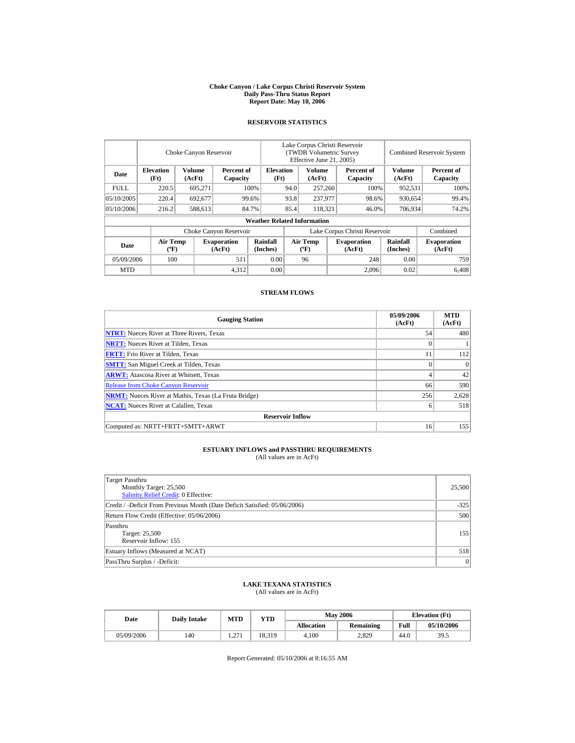#### **Choke Canyon / Lake Corpus Christi Reservoir System Daily Pass-Thru Status Report Report Date: May 10, 2006**

### **RESERVOIR STATISTICS**

|             |                                             | Choke Canyon Reservoir |                              |                                    | Lake Corpus Christi Reservoir<br><b>(TWDB Volumetric Survey)</b><br>Effective June 21, 2005) |                                  |  |                              |                             | <b>Combined Reservoir System</b> |
|-------------|---------------------------------------------|------------------------|------------------------------|------------------------------------|----------------------------------------------------------------------------------------------|----------------------------------|--|------------------------------|-----------------------------|----------------------------------|
| Date        | <b>Elevation</b><br>(Ft)                    | Volume<br>(AcFt)       | Percent of<br>Capacity       | <b>Elevation</b><br>(Ft)           |                                                                                              | Volume<br>(AcFt)                 |  | Percent of<br>Capacity       | <b>Volume</b><br>(AcFt)     | Percent of<br>Capacity           |
| <b>FULL</b> | 220.5                                       | 695,271                |                              | 100%                               | 94.0                                                                                         | 257,260                          |  | 100%                         | 952,531                     | 100%                             |
| 05/10/2005  | 220.4                                       | 692,677                |                              | 99.6%                              | 93.8                                                                                         | 237,977                          |  | 98.6%                        | 930,654                     | 99.4%                            |
| 05/10/2006  | 216.2                                       | 588,613                |                              | 84.7%                              | 85.4                                                                                         | 118,321                          |  | 46.0%                        | 706,934                     | 74.2%                            |
|             |                                             |                        |                              | <b>Weather Related Information</b> |                                                                                              |                                  |  |                              |                             |                                  |
|             |                                             |                        | Choke Canyon Reservoir       |                                    | Lake Corpus Christi Reservoir                                                                |                                  |  |                              |                             | Combined                         |
| Date        | <b>Air Temp</b><br>$({}^{\circ}\mathrm{F})$ |                        | <b>Evaporation</b><br>(AcFt) | Rainfall<br>(Inches)               |                                                                                              | <b>Air Temp</b><br>$(^{\circ}F)$ |  | <b>Evaporation</b><br>(AcFt) | <b>Rainfall</b><br>(Inches) | <b>Evaporation</b><br>(AcFt)     |
| 05/09/2006  | 100                                         |                        | 511                          | 0.00                               |                                                                                              | 96                               |  | 248                          | 0.00                        | 759                              |
| <b>MTD</b>  |                                             |                        | 4,312                        | 0.00                               |                                                                                              |                                  |  | 2.096                        | 0.02                        | 6.408                            |

### **STREAM FLOWS**

| <b>Gauging Station</b>                                       | 05/09/2006<br>(AcFt) | <b>MTD</b><br>(AcFt) |
|--------------------------------------------------------------|----------------------|----------------------|
| <b>NTRT:</b> Nueces River at Three Rivers, Texas             | 54                   | 480                  |
| <b>NRTT:</b> Nueces River at Tilden, Texas                   | $\mathbf{0}$         |                      |
| <b>FRTT:</b> Frio River at Tilden, Texas                     | 11                   | 112                  |
| <b>SMTT:</b> San Miguel Creek at Tilden, Texas               | $\theta$             | $\Omega$             |
| <b>ARWT:</b> Atascosa River at Whitsett, Texas               | 4                    | 42                   |
| <b>Release from Choke Canyon Reservoir</b>                   | 66                   | 590                  |
| <b>NRMT:</b> Nueces River at Mathis, Texas (La Fruta Bridge) | 256                  | 2,628                |
| <b>NCAT:</b> Nueces River at Calallen, Texas                 | 6                    | 518                  |
| <b>Reservoir Inflow</b>                                      |                      |                      |
| Computed as: NRTT+FRTT+SMTT+ARWT                             | 16                   | 155                  |

# **ESTUARY INFLOWS and PASSTHRU REQUIREMENTS**<br>(All values are in AcFt)

| Target Passthru<br>Monthly Target: 25,500<br><b>Salinity Relief Credit: 0 Effective:</b> | 25,500 |
|------------------------------------------------------------------------------------------|--------|
| Credit / -Deficit From Previous Month (Date Deficit Satisfied: 05/06/2006)               | $-325$ |
| Return Flow Credit (Effective: 05/06/2006)                                               | 500    |
| Passthru<br>Target: 25,500<br>Reservoir Inflow: 155                                      | 155    |
| Estuary Inflows (Measured at NCAT)                                                       | 518    |
| PassThru Surplus / -Deficit:                                                             | 0      |

## **LAKE TEXANA STATISTICS**

(All values are in AcFt)

| Date       | <b>Daily Intake</b> | MTD        | YTD    |                   | <b>May 2006</b> | <b>Elevation</b> (Ft) |            |
|------------|---------------------|------------|--------|-------------------|-----------------|-----------------------|------------|
|            |                     |            |        | <b>Allocation</b> | Remaining       | Full                  | 05/10/2006 |
| 05/09/2006 | 140                 | 27<br>1.41 | 18.319 | 4.100             | 2.829           | 44.0                  | 39.5       |

Report Generated: 05/10/2006 at 8:16:55 AM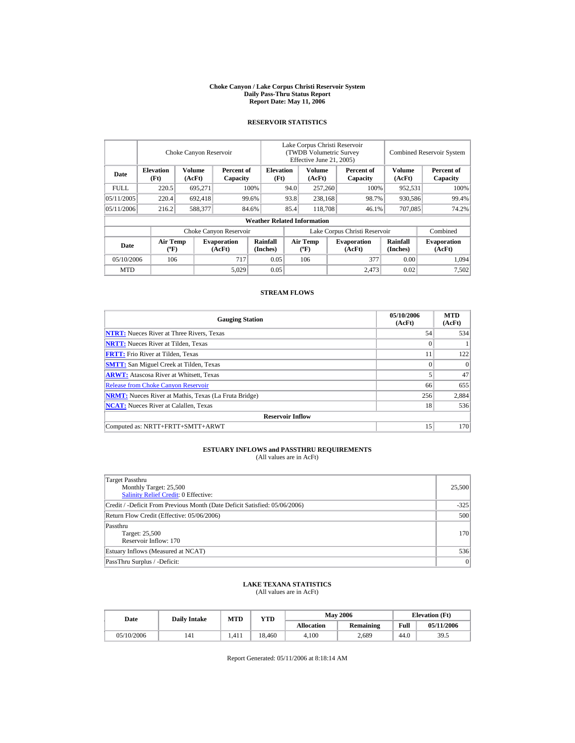#### **Choke Canyon / Lake Corpus Christi Reservoir System Daily Pass-Thru Status Report Report Date: May 11, 2006**

### **RESERVOIR STATISTICS**

|             |                                             | Choke Canyon Reservoir |                              |                                    | Lake Corpus Christi Reservoir<br><b>(TWDB Volumetric Survey)</b><br>Effective June 21, 2005) |                                  |  |                              |                             | <b>Combined Reservoir System</b> |
|-------------|---------------------------------------------|------------------------|------------------------------|------------------------------------|----------------------------------------------------------------------------------------------|----------------------------------|--|------------------------------|-----------------------------|----------------------------------|
| Date        | <b>Elevation</b><br>(Ft)                    | Volume<br>(AcFt)       | Percent of<br>Capacity       | <b>Elevation</b><br>(Ft)           |                                                                                              | Volume<br>(AcFt)                 |  | Percent of<br>Capacity       | <b>Volume</b><br>(AcFt)     | Percent of<br>Capacity           |
| <b>FULL</b> | 220.5                                       | 695,271                |                              | 100%                               | 94.0                                                                                         | 257,260                          |  | 100%                         | 952,531                     | 100%                             |
| 05/11/2005  | 220.4                                       | 692,418                |                              | 99.6%                              | 93.8                                                                                         | 238,168                          |  | 98.7%                        | 930,586                     | 99.4%                            |
| 05/11/2006  | 216.2                                       | 588,377                |                              | 84.6%                              | 85.4                                                                                         | 118,708                          |  | 46.1%                        | 707,085                     | 74.2%                            |
|             |                                             |                        |                              | <b>Weather Related Information</b> |                                                                                              |                                  |  |                              |                             |                                  |
|             |                                             |                        | Choke Canyon Reservoir       |                                    | Lake Corpus Christi Reservoir                                                                |                                  |  |                              |                             | Combined                         |
| Date        | <b>Air Temp</b><br>$({}^{\circ}\mathrm{F})$ |                        | <b>Evaporation</b><br>(AcFt) | Rainfall<br>(Inches)               |                                                                                              | <b>Air Temp</b><br>$(^{\circ}F)$ |  | <b>Evaporation</b><br>(AcFt) | <b>Rainfall</b><br>(Inches) | <b>Evaporation</b><br>(AcFt)     |
| 05/10/2006  | 106                                         |                        | 717                          | 0.05                               |                                                                                              | 106                              |  | 377                          | 0.00                        | 1,094                            |
| <b>MTD</b>  |                                             |                        | 5,029                        | 0.05                               |                                                                                              |                                  |  | 2.473                        | 0.02                        | 7.502                            |

### **STREAM FLOWS**

| <b>Gauging Station</b>                                       | 05/10/2006<br>(AcFt) | <b>MTD</b><br>(AcFt) |
|--------------------------------------------------------------|----------------------|----------------------|
| <b>NTRT:</b> Nueces River at Three Rivers, Texas             | 54                   | 534                  |
| <b>NRTT:</b> Nueces River at Tilden, Texas                   | 0                    |                      |
| <b>FRTT:</b> Frio River at Tilden, Texas                     | 11                   | 122                  |
| <b>SMTT:</b> San Miguel Creek at Tilden, Texas               | $\Omega$             | $\Omega$             |
| <b>ARWT:</b> Atascosa River at Whitsett, Texas               |                      | 47                   |
| <b>Release from Choke Canyon Reservoir</b>                   | 66                   | 655                  |
| <b>NRMT:</b> Nueces River at Mathis, Texas (La Fruta Bridge) | 256                  | 2,884                |
| <b>NCAT:</b> Nueces River at Calallen, Texas                 | 18                   | 536                  |
| <b>Reservoir Inflow</b>                                      |                      |                      |
| Computed as: NRTT+FRTT+SMTT+ARWT                             | 15                   | 170                  |

# **ESTUARY INFLOWS and PASSTHRU REQUIREMENTS**<br>(All values are in AcFt)

| Target Passthru<br>Monthly Target: 25,500<br><b>Salinity Relief Credit: 0 Effective:</b> | 25,500 |
|------------------------------------------------------------------------------------------|--------|
| Credit / -Deficit From Previous Month (Date Deficit Satisfied: 05/06/2006)               | $-325$ |
| Return Flow Credit (Effective: 05/06/2006)                                               | 500    |
| Passthru<br>Target: 25,500<br>Reservoir Inflow: 170                                      | 170    |
| Estuary Inflows (Measured at NCAT)                                                       | 536    |
| PassThru Surplus / -Deficit:                                                             | 0      |

## **LAKE TEXANA STATISTICS**

(All values are in AcFt)

| Date       | <b>Daily Intake</b> | <b>MTD</b> | YTD    |                   | <b>May 2006</b> | <b>Elevation</b> (Ft) |            |
|------------|---------------------|------------|--------|-------------------|-----------------|-----------------------|------------|
|            |                     |            |        | <b>Allocation</b> | Remaining       | Full                  | 05/11/2006 |
| 05/10/2006 | 141                 | 1.411      | 18.460 | 4.100             | 2.689           | 44.0                  | 39.5       |

Report Generated: 05/11/2006 at 8:18:14 AM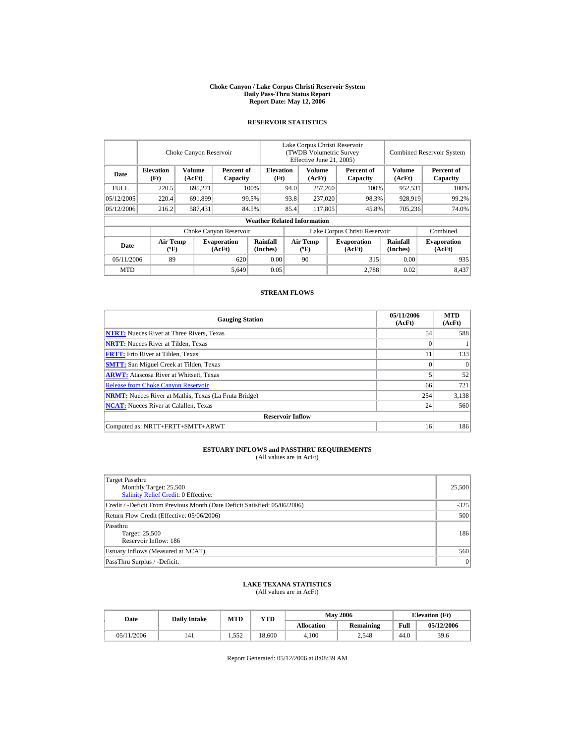#### **Choke Canyon / Lake Corpus Christi Reservoir System Daily Pass-Thru Status Report Report Date: May 12, 2006**

### **RESERVOIR STATISTICS**

|             |                                             | Choke Canyon Reservoir |                              |                                    | Lake Corpus Christi Reservoir<br><b>(TWDB Volumetric Survey)</b><br>Effective June 21, 2005) |                                  |  |                              |                             | <b>Combined Reservoir System</b> |
|-------------|---------------------------------------------|------------------------|------------------------------|------------------------------------|----------------------------------------------------------------------------------------------|----------------------------------|--|------------------------------|-----------------------------|----------------------------------|
| Date        | <b>Elevation</b><br>(Ft)                    | Volume<br>(AcFt)       | Percent of<br>Capacity       | <b>Elevation</b><br>(Ft)           |                                                                                              | Volume<br>(AcFt)                 |  | Percent of<br>Capacity       | <b>Volume</b><br>(AcFt)     | Percent of<br>Capacity           |
| <b>FULL</b> | 220.5                                       | 695,271                |                              | 100%                               | 94.0                                                                                         | 257,260                          |  | 100%                         | 952,531                     | 100%                             |
| 05/12/2005  | 220.4                                       | 691,899                |                              | 99.5%                              | 93.8                                                                                         | 237,020                          |  | 98.3%                        | 928,919                     | 99.2%                            |
| 05/12/2006  | 216.2                                       | 587,431                |                              | 84.5%                              | 85.4                                                                                         | 117,805                          |  | 45.8%                        | 705,236                     | 74.0%                            |
|             |                                             |                        |                              | <b>Weather Related Information</b> |                                                                                              |                                  |  |                              |                             |                                  |
|             |                                             |                        | Choke Canyon Reservoir       |                                    | Lake Corpus Christi Reservoir                                                                |                                  |  |                              |                             | Combined                         |
| Date        | <b>Air Temp</b><br>$({}^{\circ}\mathrm{F})$ |                        | <b>Evaporation</b><br>(AcFt) | Rainfall<br>(Inches)               |                                                                                              | <b>Air Temp</b><br>$(^{\circ}F)$ |  | <b>Evaporation</b><br>(AcFt) | <b>Rainfall</b><br>(Inches) | <b>Evaporation</b><br>(AcFt)     |
| 05/11/2006  | 89                                          |                        | 620                          | 0.00                               |                                                                                              | 90                               |  | 315                          | 0.00                        | 935                              |
| <b>MTD</b>  |                                             |                        | 5,649                        | 0.05                               |                                                                                              |                                  |  | 2.788                        | 0.02                        | 8,437                            |

### **STREAM FLOWS**

| <b>Gauging Station</b>                                       | 05/11/2006<br>(AcFt) | <b>MTD</b><br>(AcFt) |
|--------------------------------------------------------------|----------------------|----------------------|
| <b>NTRT:</b> Nueces River at Three Rivers, Texas             | 54                   | 588                  |
| <b>NRTT:</b> Nueces River at Tilden, Texas                   | $\mathbf{0}$         |                      |
| <b>FRTT:</b> Frio River at Tilden, Texas                     | 11                   | 133                  |
| <b>SMTT:</b> San Miguel Creek at Tilden, Texas               | $\theta$             | $\Omega$             |
| <b>ARWT:</b> Atascosa River at Whitsett, Texas               |                      | 52                   |
| <b>Release from Choke Canyon Reservoir</b>                   | 66                   | 721                  |
| <b>NRMT:</b> Nueces River at Mathis, Texas (La Fruta Bridge) | 254                  | 3,138                |
| <b>NCAT:</b> Nueces River at Calallen, Texas                 | 24                   | 560                  |
| <b>Reservoir Inflow</b>                                      |                      |                      |
| Computed as: NRTT+FRTT+SMTT+ARWT                             | 16                   | 186                  |

# **ESTUARY INFLOWS and PASSTHRU REQUIREMENTS**<br>(All values are in AcFt)

| Target Passthru<br>Monthly Target: 25,500<br><b>Salinity Relief Credit: 0 Effective:</b> | 25,500 |
|------------------------------------------------------------------------------------------|--------|
| Credit / -Deficit From Previous Month (Date Deficit Satisfied: 05/06/2006)               | $-325$ |
| Return Flow Credit (Effective: 05/06/2006)                                               | 500    |
| Passthru<br>Target: 25,500<br>Reservoir Inflow: 186                                      | 186    |
| Estuary Inflows (Measured at NCAT)                                                       | 560    |
| PassThru Surplus / -Deficit:                                                             | 0      |

## **LAKE TEXANA STATISTICS**

(All values are in AcFt)

| Date       | <b>Daily Intake</b> | <b>MTD</b> | YTD    |                   | <b>May 2006</b> | <b>Elevation</b> (Ft) |            |
|------------|---------------------|------------|--------|-------------------|-----------------|-----------------------|------------|
|            |                     |            |        | <b>Allocation</b> | Remaining       | Full                  | 05/12/2006 |
| 05/11/2006 | 141                 | 1.552      | 18.600 | 4.100             | 2.548           | 44.0                  | 39.6       |

Report Generated: 05/12/2006 at 8:08:39 AM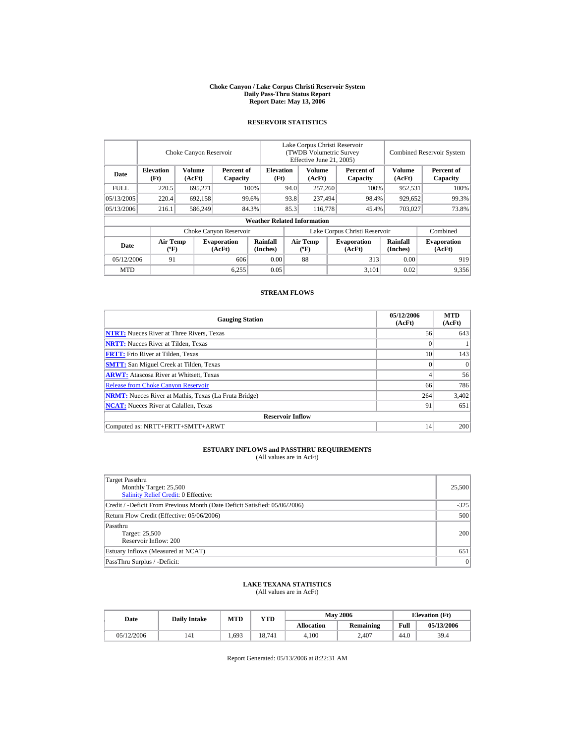#### **Choke Canyon / Lake Corpus Christi Reservoir System Daily Pass-Thru Status Report Report Date: May 13, 2006**

### **RESERVOIR STATISTICS**

|             |                                             | Choke Canyon Reservoir |                              |                                    | Lake Corpus Christi Reservoir<br><b>(TWDB Volumetric Survey)</b><br>Effective June 21, 2005) |                                  |  | <b>Combined Reservoir System</b> |                             |                              |
|-------------|---------------------------------------------|------------------------|------------------------------|------------------------------------|----------------------------------------------------------------------------------------------|----------------------------------|--|----------------------------------|-----------------------------|------------------------------|
| Date        | <b>Elevation</b><br>(Ft)                    | Volume<br>(AcFt)       | Percent of<br>Capacity       | <b>Elevation</b><br>(Ft)           |                                                                                              | Volume<br>(AcFt)                 |  | Percent of<br>Capacity           | <b>Volume</b><br>(AcFt)     | Percent of<br>Capacity       |
| <b>FULL</b> | 220.5                                       | 695,271                |                              | 100%                               | 94.0                                                                                         | 257,260                          |  | 100%                             | 952,531                     | 100%                         |
| 05/13/2005  | 220.4                                       | 692,158                |                              | 99.6%                              | 93.8                                                                                         | 237,494                          |  | 98.4%                            | 929,652                     | 99.3%                        |
| 05/13/2006  | 216.1                                       | 586,249                |                              | 84.3%                              | 85.3                                                                                         | 116,778                          |  | 45.4%                            | 703,027                     | 73.8%                        |
|             |                                             |                        |                              | <b>Weather Related Information</b> |                                                                                              |                                  |  |                                  |                             |                              |
|             |                                             |                        | Choke Canyon Reservoir       |                                    |                                                                                              |                                  |  | Lake Corpus Christi Reservoir    |                             | Combined                     |
| Date        | <b>Air Temp</b><br>$({}^{\circ}\mathrm{F})$ |                        | <b>Evaporation</b><br>(AcFt) | Rainfall<br>(Inches)               |                                                                                              | <b>Air Temp</b><br>$(^{\circ}F)$ |  | <b>Evaporation</b><br>(AcFt)     | <b>Rainfall</b><br>(Inches) | <b>Evaporation</b><br>(AcFt) |
| 05/12/2006  | 91                                          |                        | 606                          | 0.00                               |                                                                                              | 88                               |  | 313                              | 0.00                        | 919                          |
| <b>MTD</b>  |                                             |                        | 6,255                        | 0.05                               |                                                                                              |                                  |  | 3,101                            | 0.02                        | 9,356                        |

### **STREAM FLOWS**

| <b>Gauging Station</b>                                       | 05/12/2006<br>(AcFt) | <b>MTD</b><br>(AcFt) |
|--------------------------------------------------------------|----------------------|----------------------|
| <b>NTRT:</b> Nueces River at Three Rivers, Texas             | 56                   | 643                  |
| <b>NRTT:</b> Nueces River at Tilden, Texas                   | $\mathbf{0}$         |                      |
| <b>FRTT:</b> Frio River at Tilden, Texas                     | 10                   | 143                  |
| <b>SMTT:</b> San Miguel Creek at Tilden, Texas               | $\theta$             | $\Omega$             |
| <b>ARWT:</b> Atascosa River at Whitsett, Texas               | 4                    | 56                   |
| <b>Release from Choke Canyon Reservoir</b>                   | 66                   | 786                  |
| <b>NRMT:</b> Nueces River at Mathis, Texas (La Fruta Bridge) | 264                  | 3,402                |
| <b>NCAT:</b> Nueces River at Calallen, Texas                 | 91                   | 651                  |
| <b>Reservoir Inflow</b>                                      |                      |                      |
| Computed as: NRTT+FRTT+SMTT+ARWT                             | 14                   | 200                  |

# **ESTUARY INFLOWS and PASSTHRU REQUIREMENTS**<br>(All values are in AcFt)

| Target Passthru<br>Monthly Target: 25,500<br>Salinity Relief Credit: 0 Effective: | 25,500 |
|-----------------------------------------------------------------------------------|--------|
| Credit / -Deficit From Previous Month (Date Deficit Satisfied: 05/06/2006)        | $-325$ |
| Return Flow Credit (Effective: 05/06/2006)                                        | 500    |
| Passthru<br>Target: 25,500<br>Reservoir Inflow: 200                               | 200    |
| Estuary Inflows (Measured at NCAT)                                                | 651    |
| PassThru Surplus / -Deficit:                                                      | 0      |

## **LAKE TEXANA STATISTICS**

(All values are in AcFt)

| Date       | <b>Daily Intake</b> | <b>MTD</b> | YTD    |                   | <b>May 2006</b> | <b>Elevation</b> (Ft) |            |
|------------|---------------------|------------|--------|-------------------|-----------------|-----------------------|------------|
|            |                     |            |        | <b>Allocation</b> | Remaining       | Full                  | 05/13/2006 |
| 05/12/2006 | 141                 | 1.693      | 18.741 | 4.100             | 2.407           | 44.0                  | 39.4       |

Report Generated: 05/13/2006 at 8:22:31 AM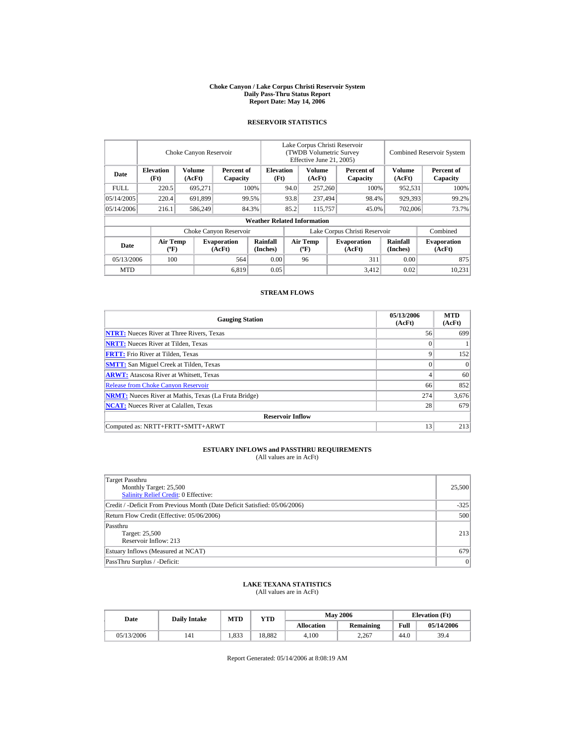#### **Choke Canyon / Lake Corpus Christi Reservoir System Daily Pass-Thru Status Report Report Date: May 14, 2006**

### **RESERVOIR STATISTICS**

|             |                                             | Choke Canyon Reservoir |                              |                                    | Lake Corpus Christi Reservoir<br><b>(TWDB Volumetric Survey)</b><br>Effective June 21, 2005) |                                  |  |                               | <b>Combined Reservoir System</b> |                              |
|-------------|---------------------------------------------|------------------------|------------------------------|------------------------------------|----------------------------------------------------------------------------------------------|----------------------------------|--|-------------------------------|----------------------------------|------------------------------|
| Date        | <b>Elevation</b><br>(Ft)                    | Volume<br>(AcFt)       | Percent of<br>Capacity       | <b>Elevation</b><br>(Ft)           |                                                                                              | Volume<br>(AcFt)                 |  | Percent of<br>Capacity        | <b>Volume</b><br>(AcFt)          | Percent of<br>Capacity       |
| <b>FULL</b> | 220.5                                       | 695,271                |                              | 100%                               | 94.0                                                                                         | 257,260                          |  | 100%                          | 952,531                          | 100%                         |
| 05/14/2005  | 220.4                                       | 691,899                |                              | 99.5%                              | 93.8                                                                                         | 237,494                          |  | 98.4%                         | 929,393                          | 99.2%                        |
| 05/14/2006  | 216.1                                       | 586,249                |                              | 84.3%                              | 85.2                                                                                         | 115,757                          |  | 45.0%                         | 702,006                          | 73.7%                        |
|             |                                             |                        |                              | <b>Weather Related Information</b> |                                                                                              |                                  |  |                               |                                  |                              |
|             |                                             |                        | Choke Canyon Reservoir       |                                    |                                                                                              |                                  |  | Lake Corpus Christi Reservoir |                                  | Combined                     |
| Date        | <b>Air Temp</b><br>$({}^{\circ}\mathrm{F})$ |                        | <b>Evaporation</b><br>(AcFt) | Rainfall<br>(Inches)               |                                                                                              | <b>Air Temp</b><br>$(^{\circ}F)$ |  | <b>Evaporation</b><br>(AcFt)  | <b>Rainfall</b><br>(Inches)      | <b>Evaporation</b><br>(AcFt) |
| 05/13/2006  | 100                                         |                        | 564                          | 0.00                               |                                                                                              | 96                               |  | 311                           | 0.00                             | 875                          |
| <b>MTD</b>  |                                             |                        | 6,819                        | 0.05                               |                                                                                              |                                  |  | 3,412                         | 0.02                             | 10.231                       |

### **STREAM FLOWS**

| <b>Gauging Station</b>                                       | 05/13/2006<br>(AcFt) | <b>MTD</b><br>(AcFt) |
|--------------------------------------------------------------|----------------------|----------------------|
| <b>NTRT:</b> Nueces River at Three Rivers, Texas             | 56                   | 699                  |
| <b>NRTT:</b> Nueces River at Tilden, Texas                   | 0                    |                      |
| <b>FRTT:</b> Frio River at Tilden, Texas                     | 9                    | 152                  |
| <b>SMTT:</b> San Miguel Creek at Tilden, Texas               | $\theta$             | $\Omega$             |
| <b>ARWT:</b> Atascosa River at Whitsett, Texas               |                      | 60                   |
| <b>Release from Choke Canyon Reservoir</b>                   | 66                   | 852                  |
| <b>NRMT:</b> Nueces River at Mathis, Texas (La Fruta Bridge) | 274                  | 3,676                |
| <b>NCAT:</b> Nueces River at Calallen, Texas                 | 28                   | 679                  |
| <b>Reservoir Inflow</b>                                      |                      |                      |
| Computed as: NRTT+FRTT+SMTT+ARWT                             | 13                   | 213                  |

# **ESTUARY INFLOWS and PASSTHRU REQUIREMENTS**<br>(All values are in AcFt)

| Target Passthru<br>Monthly Target: 25,500<br><b>Salinity Relief Credit: 0 Effective:</b> | 25,500 |
|------------------------------------------------------------------------------------------|--------|
| Credit / -Deficit From Previous Month (Date Deficit Satisfied: 05/06/2006)               | $-325$ |
| Return Flow Credit (Effective: 05/06/2006)                                               | 500    |
| Passthru<br>Target: 25,500<br>Reservoir Inflow: 213                                      | 213    |
| Estuary Inflows (Measured at NCAT)                                                       | 679    |
| PassThru Surplus / -Deficit:                                                             | 0      |

## **LAKE TEXANA STATISTICS**

(All values are in AcFt)

| Date       | <b>Daily Intake</b> | <b>MTD</b> | YTD    |                   | <b>May 2006</b> | <b>Elevation</b> (Ft) |            |
|------------|---------------------|------------|--------|-------------------|-----------------|-----------------------|------------|
|            |                     |            |        | <b>Allocation</b> | Remaining       | Full                  | 05/14/2006 |
| 05/13/2006 | 141                 | 1.833      | 18.882 | 4.100             | 2.267           | 44.0                  | 39.4       |

Report Generated: 05/14/2006 at 8:08:19 AM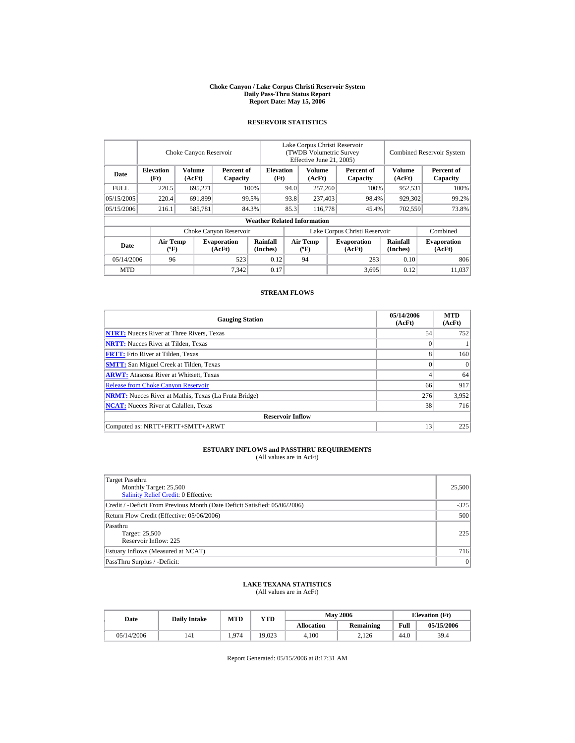#### **Choke Canyon / Lake Corpus Christi Reservoir System Daily Pass-Thru Status Report Report Date: May 15, 2006**

### **RESERVOIR STATISTICS**

|             |                                             | Choke Canyon Reservoir |                              |                                    | Lake Corpus Christi Reservoir<br><b>(TWDB Volumetric Survey)</b><br>Effective June 21, 2005) |                                  |  |                               |                             | <b>Combined Reservoir System</b> |
|-------------|---------------------------------------------|------------------------|------------------------------|------------------------------------|----------------------------------------------------------------------------------------------|----------------------------------|--|-------------------------------|-----------------------------|----------------------------------|
| Date        | <b>Elevation</b><br>(Ft)                    | Volume<br>(AcFt)       | Percent of<br>Capacity       | <b>Elevation</b><br>(Ft)           |                                                                                              | Volume<br>(AcFt)                 |  | Percent of<br>Capacity        | <b>Volume</b><br>(AcFt)     | Percent of<br>Capacity           |
| <b>FULL</b> | 220.5                                       | 695,271                |                              | 100%                               | 94.0                                                                                         | 257,260                          |  | 100%                          | 952,531                     | 100%                             |
| 05/15/2005  | 220.4                                       | 691,899                |                              | 99.5%                              | 93.8                                                                                         | 237,403                          |  | 98.4%                         | 929,302                     | 99.2%                            |
| 05/15/2006  | 216.1                                       | 585,781                |                              | 84.3%                              | 85.3                                                                                         | 116,778                          |  | 45.4%                         | 702,559                     | 73.8%                            |
|             |                                             |                        |                              | <b>Weather Related Information</b> |                                                                                              |                                  |  |                               |                             |                                  |
|             |                                             |                        | Choke Canyon Reservoir       |                                    |                                                                                              |                                  |  | Lake Corpus Christi Reservoir |                             | Combined                         |
| Date        | <b>Air Temp</b><br>$({}^{\circ}\mathrm{F})$ |                        | <b>Evaporation</b><br>(AcFt) | Rainfall<br>(Inches)               |                                                                                              | <b>Air Temp</b><br>$(^{\circ}F)$ |  | <b>Evaporation</b><br>(AcFt)  | <b>Rainfall</b><br>(Inches) | <b>Evaporation</b><br>(AcFt)     |
| 05/14/2006  | 96                                          |                        | 523                          | 0.12                               |                                                                                              | 94                               |  | 283                           | 0.10                        | 806                              |
| <b>MTD</b>  |                                             |                        | 7,342                        | 0.17                               |                                                                                              |                                  |  | 3,695                         | 0.12                        | 11.037                           |

### **STREAM FLOWS**

| <b>Gauging Station</b>                                       | 05/14/2006<br>(AcFt) | <b>MTD</b><br>(AcFt) |
|--------------------------------------------------------------|----------------------|----------------------|
| <b>NTRT:</b> Nueces River at Three Rivers, Texas             | 54                   | 752                  |
| <b>NRTT:</b> Nueces River at Tilden, Texas                   | $\overline{0}$       |                      |
| <b>FRTT:</b> Frio River at Tilden, Texas                     | 8                    | 160                  |
| <b>SMTT:</b> San Miguel Creek at Tilden, Texas               | $\theta$             | $\Omega$             |
| <b>ARWT:</b> Atascosa River at Whitsett, Texas               | 4                    | 64                   |
| <b>Release from Choke Canyon Reservoir</b>                   | 66                   | 917                  |
| <b>NRMT:</b> Nueces River at Mathis, Texas (La Fruta Bridge) | 276                  | 3,952                |
| <b>NCAT:</b> Nueces River at Calallen, Texas                 | 38                   | 716                  |
| <b>Reservoir Inflow</b>                                      |                      |                      |
| Computed as: NRTT+FRTT+SMTT+ARWT                             | 13                   | 225                  |

# **ESTUARY INFLOWS and PASSTHRU REQUIREMENTS**<br>(All values are in AcFt)

| Target Passthru<br>Monthly Target: 25,500<br><b>Salinity Relief Credit: 0 Effective:</b> | 25,500 |
|------------------------------------------------------------------------------------------|--------|
| Credit / -Deficit From Previous Month (Date Deficit Satisfied: 05/06/2006)               | $-325$ |
| Return Flow Credit (Effective: 05/06/2006)                                               | 500    |
| Passthru<br>Target: 25,500<br>Reservoir Inflow: 225                                      | 225    |
| Estuary Inflows (Measured at NCAT)                                                       | 716    |
| PassThru Surplus / -Deficit:                                                             | 0      |

## **LAKE TEXANA STATISTICS**

(All values are in AcFt)

| Date       | <b>Daily Intake</b> | <b>MTD</b> | YTD    |                   | <b>May 2006</b> | <b>Elevation</b> (Ft) |            |
|------------|---------------------|------------|--------|-------------------|-----------------|-----------------------|------------|
|            |                     |            |        | <b>Allocation</b> | Remaining       | Full                  | 05/15/2006 |
| 05/14/2006 | 141                 | 1.974      | 19.023 | 4.100             | 2.126           | 44.0                  | 39.4       |

Report Generated: 05/15/2006 at 8:17:31 AM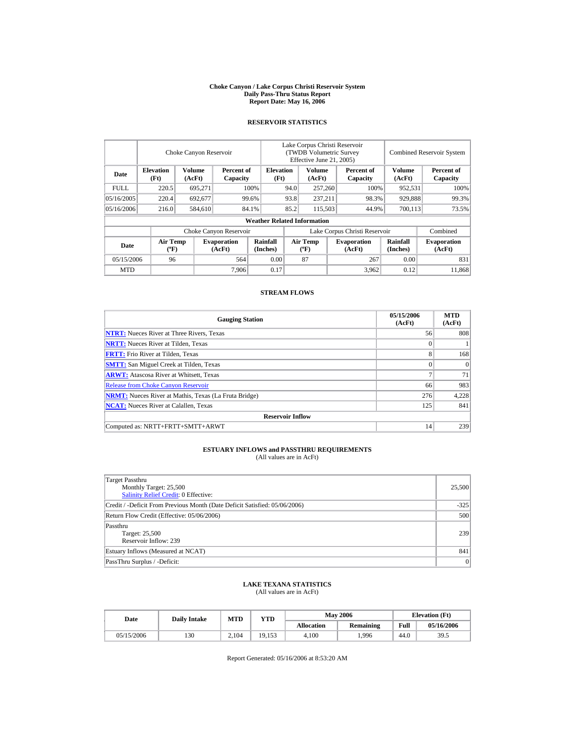#### **Choke Canyon / Lake Corpus Christi Reservoir System Daily Pass-Thru Status Report Report Date: May 16, 2006**

### **RESERVOIR STATISTICS**

|             |                                             | Choke Canyon Reservoir |                              |                                    | Lake Corpus Christi Reservoir<br><b>(TWDB Volumetric Survey)</b><br>Effective June 21, 2005) |                                  |  |                              |                             | <b>Combined Reservoir System</b> |
|-------------|---------------------------------------------|------------------------|------------------------------|------------------------------------|----------------------------------------------------------------------------------------------|----------------------------------|--|------------------------------|-----------------------------|----------------------------------|
| Date        | <b>Elevation</b><br>(Ft)                    | Volume<br>(AcFt)       | Percent of<br>Capacity       | <b>Elevation</b><br>(Ft)           |                                                                                              | Volume<br>(AcFt)                 |  | Percent of<br>Capacity       | <b>Volume</b><br>(AcFt)     | Percent of<br>Capacity           |
| <b>FULL</b> | 220.5                                       | 695,271                |                              | 100%                               | 94.0                                                                                         | 257,260                          |  | 100%                         | 952,531                     | 100%                             |
| 05/16/2005  | 220.4                                       | 692,677                |                              | 99.6%                              | 93.8                                                                                         | 237.211                          |  | 98.3%                        | 929,888                     | 99.3%                            |
| 05/16/2006  | 216.0                                       | 584,610                |                              | 84.1%                              | 85.2                                                                                         | 115,503                          |  | 44.9%                        | 700,113                     | 73.5%                            |
|             |                                             |                        |                              | <b>Weather Related Information</b> |                                                                                              |                                  |  |                              |                             |                                  |
|             |                                             |                        | Choke Canyon Reservoir       |                                    | Lake Corpus Christi Reservoir                                                                |                                  |  |                              |                             | Combined                         |
| Date        | <b>Air Temp</b><br>$({}^{\circ}\mathrm{F})$ |                        | <b>Evaporation</b><br>(AcFt) | Rainfall<br>(Inches)               |                                                                                              | <b>Air Temp</b><br>$(^{\circ}F)$ |  | <b>Evaporation</b><br>(AcFt) | <b>Rainfall</b><br>(Inches) | <b>Evaporation</b><br>(AcFt)     |
| 05/15/2006  | 96                                          |                        | 564                          | 0.00                               |                                                                                              | 87                               |  | 267                          | 0.00                        | 831                              |
| <b>MTD</b>  |                                             |                        | 7.906                        | 0.17                               |                                                                                              |                                  |  | 3,962                        | 0.12                        | 11.868                           |

### **STREAM FLOWS**

| <b>Gauging Station</b>                                       | 05/15/2006<br>(AcFt) | <b>MTD</b><br>(AcFt) |
|--------------------------------------------------------------|----------------------|----------------------|
| <b>NTRT:</b> Nueces River at Three Rivers, Texas             | 56                   | 808                  |
| <b>NRTT:</b> Nueces River at Tilden, Texas                   | 0                    |                      |
| <b>FRTT:</b> Frio River at Tilden, Texas                     | 8                    | 168                  |
| <b>SMTT:</b> San Miguel Creek at Tilden, Texas               | $\theta$             | $\Omega$             |
| <b>ARWT:</b> Atascosa River at Whitsett, Texas               | π                    | 71                   |
| <b>Release from Choke Canyon Reservoir</b>                   | 66                   | 983                  |
| <b>NRMT:</b> Nueces River at Mathis, Texas (La Fruta Bridge) | 276                  | 4,228                |
| <b>NCAT:</b> Nueces River at Calallen, Texas                 | 125                  | 841                  |
| <b>Reservoir Inflow</b>                                      |                      |                      |
| Computed as: NRTT+FRTT+SMTT+ARWT                             | 14                   | 239                  |

# **ESTUARY INFLOWS and PASSTHRU REQUIREMENTS**<br>(All values are in AcFt)

| Target Passthru<br>Monthly Target: 25,500<br>Salinity Relief Credit: 0 Effective: | 25,500 |
|-----------------------------------------------------------------------------------|--------|
| Credit / -Deficit From Previous Month (Date Deficit Satisfied: 05/06/2006)        | $-325$ |
| Return Flow Credit (Effective: 05/06/2006)                                        | 500    |
| Passthru<br>Target: 25,500<br>Reservoir Inflow: 239                               | 239    |
| Estuary Inflows (Measured at NCAT)                                                | 841    |
| PassThru Surplus / -Deficit:                                                      | 0      |

## **LAKE TEXANA STATISTICS**

(All values are in AcFt)

| Date       | <b>Daily Intake</b> | <b>MTD</b> | YTD    |                   | <b>May 2006</b> | <b>Elevation</b> (Ft) |            |
|------------|---------------------|------------|--------|-------------------|-----------------|-----------------------|------------|
|            |                     |            |        | <b>Allocation</b> | Remaining       | Full                  | 05/16/2006 |
| 05/15/2006 | 130                 | 2.104      | 19.153 | 4.100             | .996            | 44.0                  | 39.5       |

Report Generated: 05/16/2006 at 8:53:20 AM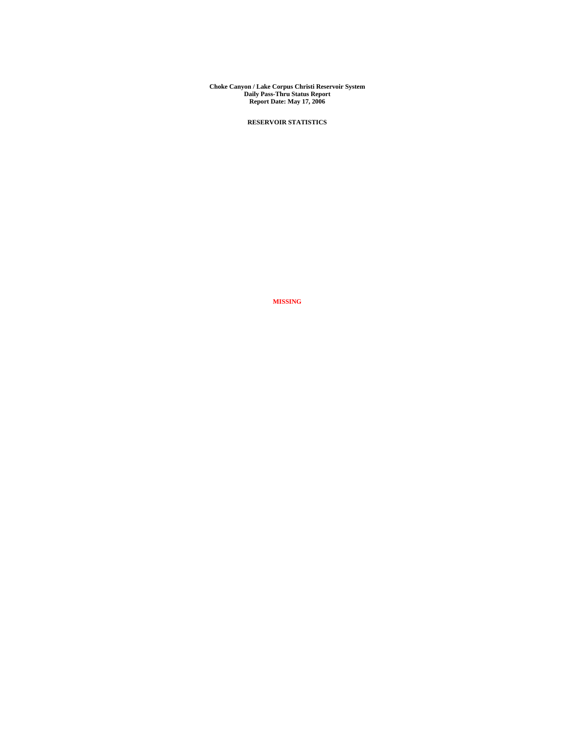**Choke Canyon / Lake Corpus Christi Reservoir System Daily Pass-Thru Status Report Report Date: May 17, 2006** 

**RESERVOIR STATISTICS**

**MISSING**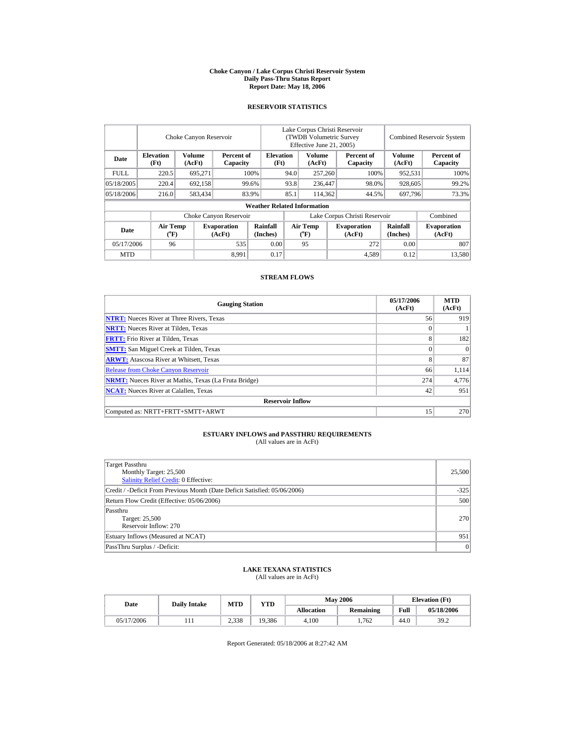#### **Choke Canyon / Lake Corpus Christi Reservoir System Daily Pass-Thru Status Report Report Date: May 18, 2006**

### **RESERVOIR STATISTICS**

|             |                                             | Choke Canyon Reservoir  |                              |                                    | Lake Corpus Christi Reservoir<br>(TWDB Volumetric Survey<br>Effective June 21, 2005) |                                             |                  |                              |                             | <b>Combined Reservoir System</b> |
|-------------|---------------------------------------------|-------------------------|------------------------------|------------------------------------|--------------------------------------------------------------------------------------|---------------------------------------------|------------------|------------------------------|-----------------------------|----------------------------------|
| Date        | <b>Elevation</b><br>(Ft)                    | <b>Volume</b><br>(AcFt) | Percent of<br>Capacity       | <b>Elevation</b><br>(Ft)           |                                                                                      | Volume<br>(AcFt)                            |                  | Percent of<br>Capacity       | Volume<br>(AcFt)            | Percent of<br>Capacity           |
| <b>FULL</b> | 220.5                                       | 695.271                 |                              | 100%                               | 94.0                                                                                 | 257,260                                     |                  | 100%                         | 952,531                     | 100%                             |
| 05/18/2005  | 220.4                                       | 692,158                 |                              | 99.6%                              | 93.8                                                                                 | 236,447                                     |                  | 98.0%                        | 928,605                     | 99.2%                            |
| 05/18/2006  | 216.0                                       | 583,434                 |                              | 83.9%                              | 85.1                                                                                 |                                             | 114,362<br>44.5% |                              | 697,796                     | 73.3%                            |
|             |                                             |                         |                              | <b>Weather Related Information</b> |                                                                                      |                                             |                  |                              |                             |                                  |
|             |                                             |                         | Choke Canyon Reservoir       |                                    | Lake Corpus Christi Reservoir                                                        |                                             |                  |                              |                             | Combined                         |
| Date        | <b>Air Temp</b><br>$({}^{\circ}\mathrm{F})$ |                         | <b>Evaporation</b><br>(AcFt) | Rainfall<br>(Inches)               |                                                                                      | <b>Air Temp</b><br>$({}^{\circ}\mathrm{F})$ |                  | <b>Evaporation</b><br>(AcFt) | <b>Rainfall</b><br>(Inches) | <b>Evaporation</b><br>(AcFt)     |
| 05/17/2006  | 96                                          |                         | 535                          | 0.00                               |                                                                                      | 95                                          |                  | 272                          | 0.00                        | 807                              |
| <b>MTD</b>  |                                             |                         | 8.991                        | 0.17                               |                                                                                      |                                             |                  | 4,589                        | 0.12                        | 13,580                           |

#### **STREAM FLOWS**

| <b>Gauging Station</b>                                       | 05/17/2006<br>(AcFt) | <b>MTD</b><br>(AcFt) |
|--------------------------------------------------------------|----------------------|----------------------|
| <b>NTRT:</b> Nueces River at Three Rivers, Texas             | 56                   | 919                  |
| <b>NRTT:</b> Nueces River at Tilden, Texas                   | $\Omega$             |                      |
| <b>FRTT:</b> Frio River at Tilden, Texas                     | 8                    | 182                  |
| <b>SMTT:</b> San Miguel Creek at Tilden, Texas               | $\Omega$             | $\Omega$             |
| <b>ARWT:</b> Atascosa River at Whitsett, Texas               | 8                    | 87                   |
| <b>Release from Choke Canyon Reservoir</b>                   | 66                   | 1.114                |
| <b>NRMT:</b> Nueces River at Mathis, Texas (La Fruta Bridge) | 274                  | 4,776                |
| <b>NCAT:</b> Nueces River at Calallen, Texas                 | 42                   | 951                  |
| <b>Reservoir Inflow</b>                                      |                      |                      |
| Computed as: NRTT+FRTT+SMTT+ARWT                             | 15                   | 270                  |

## **ESTUARY INFLOWS and PASSTHRU REQUIREMENTS**<br>(All values are in AcFt)

| Target Passthru<br>Monthly Target: 25,500<br>Salinity Relief Credit: 0 Effective: | 25,500          |
|-----------------------------------------------------------------------------------|-----------------|
| Credit / -Deficit From Previous Month (Date Deficit Satisfied: 05/06/2006)        | $-325$          |
| Return Flow Credit (Effective: 05/06/2006)                                        | 500             |
| Passthru<br>Target: 25,500<br>Reservoir Inflow: 270                               | 270             |
| Estuary Inflows (Measured at NCAT)                                                | 951             |
| PassThru Surplus / -Deficit:                                                      | $\vert 0 \vert$ |

# **LAKE TEXANA STATISTICS** (All values are in AcFt)

| Date       | <b>Daily Intake</b> | <b>MTD</b> | YTD    |                   | <b>May 2006</b>  |      | <b>Elevation</b> (Ft) |
|------------|---------------------|------------|--------|-------------------|------------------|------|-----------------------|
|            |                     |            |        | <b>Allocation</b> | <b>Remaining</b> | Full | 05/18/2006            |
| 05/17/2006 |                     | 2.338      | 19.386 | 4.100             | 1.762            | 44.0 | 39.2                  |

Report Generated: 05/18/2006 at 8:27:42 AM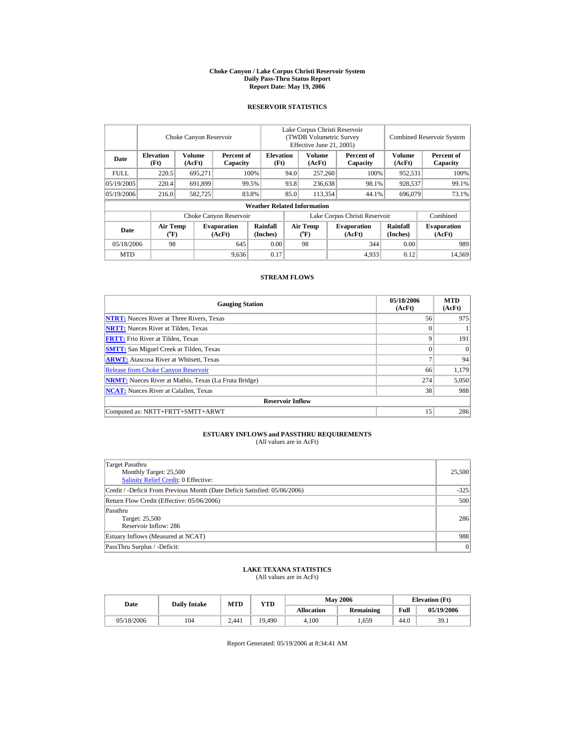#### **Choke Canyon / Lake Corpus Christi Reservoir System Daily Pass-Thru Status Report Report Date: May 19, 2006**

### **RESERVOIR STATISTICS**

|             |                                             |                  | Choke Canyon Reservoir       |                                    | Lake Corpus Christi Reservoir<br>(TWDB Volumetric Survey<br>Effective June 21, 2005) |                                             |  |                              |                      | <b>Combined Reservoir System</b> |
|-------------|---------------------------------------------|------------------|------------------------------|------------------------------------|--------------------------------------------------------------------------------------|---------------------------------------------|--|------------------------------|----------------------|----------------------------------|
| Date        | <b>Elevation</b><br>(Ft)                    | Volume<br>(AcFt) | Percent of<br>Capacity       | <b>Elevation</b><br>(Ft)           |                                                                                      | Volume<br>(AcFt)                            |  | Percent of<br>Capacity       | Volume<br>(AcFt)     | Percent of<br>Capacity           |
| <b>FULL</b> | 220.5                                       | 695.271          |                              | 100%                               | 94.0                                                                                 | 257,260                                     |  | 100%                         | 952,531              | 100%                             |
| 05/19/2005  | 220.4                                       | 691,899          |                              | 99.5%                              | 93.8                                                                                 | 236,638                                     |  | 98.1%                        | 928,537              | 99.1%                            |
| 05/19/2006  | 216.0                                       | 582,725          |                              | 83.8%                              | 85.0                                                                                 | 113,354                                     |  | 44.1%                        | 696,079              | 73.1%                            |
|             |                                             |                  |                              | <b>Weather Related Information</b> |                                                                                      |                                             |  |                              |                      |                                  |
|             |                                             |                  | Choke Canyon Reservoir       |                                    | Lake Corpus Christi Reservoir                                                        |                                             |  |                              |                      | Combined                         |
| Date        | <b>Air Temp</b><br>$({}^{\circ}\mathrm{F})$ |                  | <b>Evaporation</b><br>(AcFt) | Rainfall<br>(Inches)               |                                                                                      | <b>Air Temp</b><br>$({}^{\circ}\mathrm{F})$ |  | <b>Evaporation</b><br>(AcFt) | Rainfall<br>(Inches) | <b>Evaporation</b><br>(AcFt)     |
| 05/18/2006  | 98                                          |                  | 645                          | 0.00                               |                                                                                      | 98                                          |  | 344                          | 0.00                 | 989                              |
| <b>MTD</b>  |                                             |                  | 9,636                        | 0.17                               |                                                                                      |                                             |  | 4,933                        | 0.12                 | 14,569                           |

#### **STREAM FLOWS**

| <b>Gauging Station</b>                                       | 05/18/2006<br>(AcFt) | <b>MTD</b><br>(AcFt) |
|--------------------------------------------------------------|----------------------|----------------------|
| <b>NTRT:</b> Nueces River at Three Rivers, Texas             | 56                   | 975                  |
| <b>NRTT:</b> Nueces River at Tilden, Texas                   | $\theta$             |                      |
| <b>FRTT:</b> Frio River at Tilden, Texas                     | 9                    | 191                  |
| <b>SMTT:</b> San Miguel Creek at Tilden, Texas               | $\Omega$             | $\Omega$             |
| <b>ARWT:</b> Atascosa River at Whitsett, Texas               | $\mathbf{r}$         | 94                   |
| <b>Release from Choke Canyon Reservoir</b>                   | 66                   | 1.179                |
| <b>NRMT:</b> Nueces River at Mathis, Texas (La Fruta Bridge) | 274                  | 5,050                |
| <b>NCAT:</b> Nueces River at Calallen, Texas                 | 38                   | 988                  |
| <b>Reservoir Inflow</b>                                      |                      |                      |
| Computed as: NRTT+FRTT+SMTT+ARWT                             | 15                   | 286                  |

## **ESTUARY INFLOWS and PASSTHRU REQUIREMENTS**<br>(All values are in AcFt)

| Target Passthru<br>Monthly Target: 25,500<br>Salinity Relief Credit: 0 Effective: | 25,500 |
|-----------------------------------------------------------------------------------|--------|
| Credit / -Deficit From Previous Month (Date Deficit Satisfied: 05/06/2006)        | $-325$ |
| Return Flow Credit (Effective: 05/06/2006)                                        | 500    |
| Passthru<br>Target: 25,500<br>Reservoir Inflow: 286                               | 286    |
| Estuary Inflows (Measured at NCAT)                                                | 988    |
| PassThru Surplus / -Deficit:                                                      | 0      |

# **LAKE TEXANA STATISTICS** (All values are in AcFt)

| Date       | <b>Daily Intake</b> | <b>MTD</b> | YTD    |                   | <b>May 2006</b>  | <b>Elevation</b> (Ft) |            |
|------------|---------------------|------------|--------|-------------------|------------------|-----------------------|------------|
|            |                     |            |        | <b>Allocation</b> | <b>Remaining</b> | Full                  | 05/19/2006 |
| 05/18/2006 | 104                 | 2.441      | 19.490 | 4.100             | . 659            | 44.0                  | 39.1       |

Report Generated: 05/19/2006 at 8:34:41 AM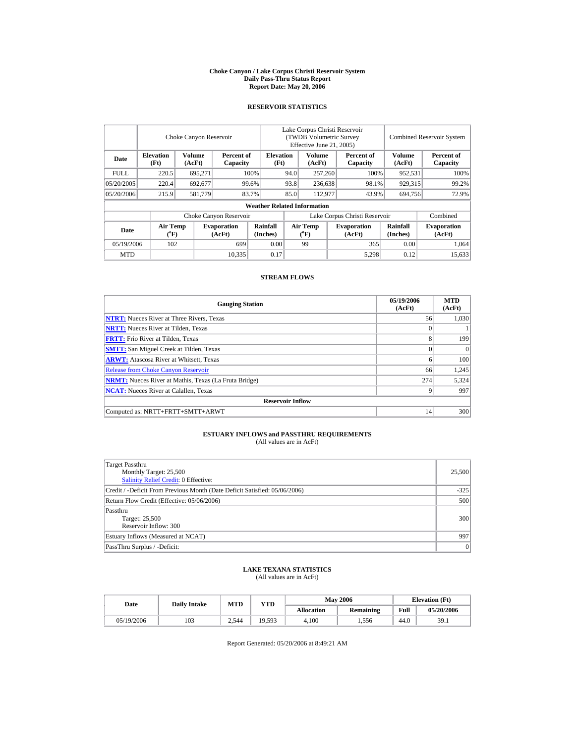#### **Choke Canyon / Lake Corpus Christi Reservoir System Daily Pass-Thru Status Report Report Date: May 20, 2006**

### **RESERVOIR STATISTICS**

|             | Choke Canyon Reservoir                |                         |                              |                                    | Lake Corpus Christi Reservoir<br>(TWDB Volumetric Survey<br>Effective June 21, 2005) |                                             |  |                               |                      | <b>Combined Reservoir System</b> |
|-------------|---------------------------------------|-------------------------|------------------------------|------------------------------------|--------------------------------------------------------------------------------------|---------------------------------------------|--|-------------------------------|----------------------|----------------------------------|
| Date        | <b>Elevation</b><br>(Ft)              | <b>Volume</b><br>(AcFt) | Percent of<br>Capacity       | <b>Elevation</b><br>(Ft)           |                                                                                      | <b>Volume</b><br>(AcFt)                     |  | Percent of<br>Capacity        | Volume<br>(AcFt)     | Percent of<br>Capacity           |
| <b>FULL</b> | 220.5                                 | 695.271                 |                              | 100%                               | 94.0                                                                                 | 257,260                                     |  | 100%                          | 952,531              | 100%                             |
| 05/20/2005  | 220.4                                 | 692,677                 |                              | 99.6%                              | 93.8                                                                                 | 236,638                                     |  | 98.1%                         | 929,315              | 99.2%                            |
| 05/20/2006  | 215.9                                 | 581,779                 |                              | 83.7%                              | 85.0                                                                                 | 112,977                                     |  | 43.9%                         | 694,756              | 72.9%                            |
|             |                                       |                         |                              | <b>Weather Related Information</b> |                                                                                      |                                             |  |                               |                      |                                  |
|             |                                       |                         | Choke Canyon Reservoir       |                                    |                                                                                      |                                             |  | Lake Corpus Christi Reservoir |                      | Combined                         |
| Date        | <b>Air Temp</b><br>$({}^o\mathrm{F})$ |                         | <b>Evaporation</b><br>(AcFt) | Rainfall<br>(Inches)               |                                                                                      | <b>Air Temp</b><br>$({}^{\circ}\mathrm{F})$ |  | <b>Evaporation</b><br>(AcFt)  | Rainfall<br>(Inches) | <b>Evaporation</b><br>(AcFt)     |
| 05/19/2006  | 102                                   |                         | 699                          | 0.00                               |                                                                                      | 99                                          |  | 365                           | 0.00                 | 1,064                            |
| <b>MTD</b>  |                                       |                         | 10,335                       | 0.17                               |                                                                                      |                                             |  | 5,298                         | 0.12                 | 15,633                           |

#### **STREAM FLOWS**

| <b>Gauging Station</b>                                       | 05/19/2006<br>(AcFt) | <b>MTD</b><br>(AcFt) |
|--------------------------------------------------------------|----------------------|----------------------|
| <b>NTRT:</b> Nueces River at Three Rivers, Texas             | 56                   | 1.030                |
| <b>NRTT:</b> Nueces River at Tilden, Texas                   | $\Omega$             |                      |
| <b>FRTT:</b> Frio River at Tilden, Texas                     | 8                    | 199                  |
| <b>SMTT:</b> San Miguel Creek at Tilden, Texas               | $\Omega$             | $\Omega$             |
| <b>ARWT:</b> Atascosa River at Whitsett, Texas               | 6                    | 100                  |
| <b>Release from Choke Canyon Reservoir</b>                   | 66                   | 1.245                |
| <b>NRMT:</b> Nueces River at Mathis, Texas (La Fruta Bridge) | 274                  | 5,324                |
| <b>NCAT:</b> Nueces River at Calallen, Texas                 | 9                    | 997                  |
| <b>Reservoir Inflow</b>                                      |                      |                      |
| Computed as: NRTT+FRTT+SMTT+ARWT                             | 14                   | 300                  |

## **ESTUARY INFLOWS and PASSTHRU REQUIREMENTS**<br>(All values are in AcFt)

| Target Passthru<br>Monthly Target: 25,500<br>Salinity Relief Credit: 0 Effective: | 25,500          |
|-----------------------------------------------------------------------------------|-----------------|
| Credit / -Deficit From Previous Month (Date Deficit Satisfied: 05/06/2006)        | $-325$          |
| Return Flow Credit (Effective: 05/06/2006)                                        | 500             |
| Passthru<br>Target: 25,500<br>Reservoir Inflow: 300                               | 300             |
| Estuary Inflows (Measured at NCAT)                                                | 997             |
| PassThru Surplus / -Deficit:                                                      | $\vert 0 \vert$ |

## **LAKE TEXANA STATISTICS** (All values are in AcFt)

| Date       | <b>Daily Intake</b> | <b>MTD</b> | YTD    |                   | <b>May 2006</b>  |      | <b>Elevation</b> (Ft) |
|------------|---------------------|------------|--------|-------------------|------------------|------|-----------------------|
|            |                     |            |        | <b>Allocation</b> | <b>Remaining</b> | Full | 05/20/2006            |
| 05/19/2006 | 103                 | 2.544      | 19.593 | 4.100             | 1.556            | 44.0 | 39.1                  |

Report Generated: 05/20/2006 at 8:49:21 AM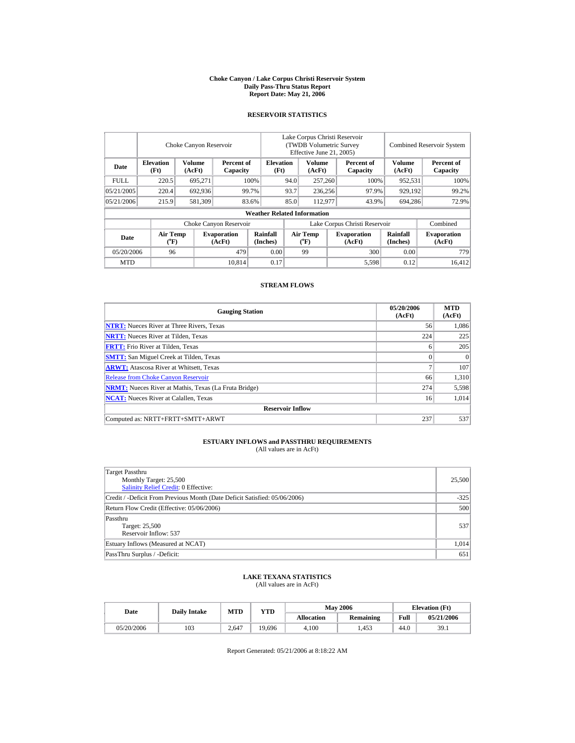#### **Choke Canyon / Lake Corpus Christi Reservoir System Daily Pass-Thru Status Report Report Date: May 21, 2006**

## **RESERVOIR STATISTICS**

|             |                                    | Choke Canyon Reservoir |                              |                                    | Lake Corpus Christi Reservoir<br>(TWDB Volumetric Survey)<br>Effective June 21, 2005) |                                    |         |                              | <b>Combined Reservoir System</b> |                              |  |
|-------------|------------------------------------|------------------------|------------------------------|------------------------------------|---------------------------------------------------------------------------------------|------------------------------------|---------|------------------------------|----------------------------------|------------------------------|--|
| Date        | <b>Elevation</b><br>(Ft)           | Volume<br>(AcFt)       | Percent of<br>Capacity       | <b>Elevation</b><br>(Ft)           |                                                                                       | <b>Volume</b><br>(AcFt)            |         | Percent of<br>Capacity       | <b>Volume</b><br>(AcFt)          | Percent of<br>Capacity       |  |
| <b>FULL</b> | 220.5                              | 695.271                |                              | 100%<br>94.0                       |                                                                                       |                                    | 257,260 |                              | 100%<br>952.531                  | 100%                         |  |
| 05/21/2005  | 220.4                              | 692,936                |                              | 99.7%                              | 93.7                                                                                  | 236,256                            |         | 97.9%                        | 929,192                          | 99.2%                        |  |
| 05/21/2006  | 215.9                              | 581,309                |                              | 83.6%                              | 85.0                                                                                  | 112,977                            |         | 43.9%                        | 694.286                          | 72.9%                        |  |
|             |                                    |                        |                              | <b>Weather Related Information</b> |                                                                                       |                                    |         |                              |                                  |                              |  |
|             |                                    |                        | Choke Canyon Reservoir       |                                    | Lake Corpus Christi Reservoir                                                         |                                    |         |                              |                                  | Combined                     |  |
| Date        | <b>Air Temp</b><br>$({}^{\circ}F)$ |                        | <b>Evaporation</b><br>(AcFt) | Rainfall<br>(Inches)               |                                                                                       | Air Temp<br>$({}^{\circ}\text{F})$ |         | <b>Evaporation</b><br>(AcFt) | Rainfall<br>(Inches)             | <b>Evaporation</b><br>(AcFt) |  |
| 05/20/2006  | 96                                 |                        | 479                          | 0.00                               |                                                                                       | 99                                 |         | 300                          | 0.00                             | 779                          |  |
| <b>MTD</b>  |                                    |                        | 10.814                       | 0.17                               |                                                                                       |                                    |         | 5,598                        | 0.12                             | 16.412                       |  |

### **STREAM FLOWS**

| <b>Gauging Station</b>                                       | 05/20/2006<br>(AcFt) | <b>MTD</b><br>(AcFt) |
|--------------------------------------------------------------|----------------------|----------------------|
| <b>NTRT:</b> Nueces River at Three Rivers, Texas             | 56                   | 1.086                |
| <b>NRTT:</b> Nueces River at Tilden, Texas                   | 224                  | 225                  |
| <b>FRTT:</b> Frio River at Tilden, Texas                     | 6                    | 205                  |
| <b>SMTT:</b> San Miguel Creek at Tilden, Texas               | $\Omega$             | $\Omega$             |
| <b>ARWT:</b> Atascosa River at Whitsett, Texas               | $\mathcal{I}$        | 107                  |
| <b>Release from Choke Canyon Reservoir</b>                   | 66                   | 1,310                |
| <b>NRMT:</b> Nueces River at Mathis, Texas (La Fruta Bridge) | 274                  | 5,598                |
| <b>NCAT:</b> Nueces River at Calallen, Texas                 | 16                   | 1,014                |
| <b>Reservoir Inflow</b>                                      |                      |                      |
| Computed as: NRTT+FRTT+SMTT+ARWT                             | 237                  | 537                  |

## **ESTUARY INFLOWS and PASSTHRU REQUIREMENTS**<br>(All values are in AcFt)

| Target Passthru<br>Monthly Target: 25,500<br>Salinity Relief Credit: 0 Effective: | 25,500 |
|-----------------------------------------------------------------------------------|--------|
| Credit / -Deficit From Previous Month (Date Deficit Satisfied: 05/06/2006)        | $-325$ |
| Return Flow Credit (Effective: 05/06/2006)                                        | 500    |
| Passthru<br>Target: 25,500<br>Reservoir Inflow: 537                               | 537    |
| Estuary Inflows (Measured at NCAT)                                                | 1,014  |
| PassThru Surplus / -Deficit:                                                      | 651    |

## **LAKE TEXANA STATISTICS** (All values are in AcFt)

| Date       | <b>Daily Intake</b> | <b>MTD</b> | <b>YTD</b> |            | <b>May 2006</b>  | <b>Elevation</b> (Ft) |            |
|------------|---------------------|------------|------------|------------|------------------|-----------------------|------------|
|            |                     |            |            | Allocation | <b>Remaining</b> | Full                  | 05/21/2006 |
| 05/20/2006 | 103                 | 2.647      | 19.696     | 4.100      | .453             | 44.0                  | 39.1       |

Report Generated: 05/21/2006 at 8:18:22 AM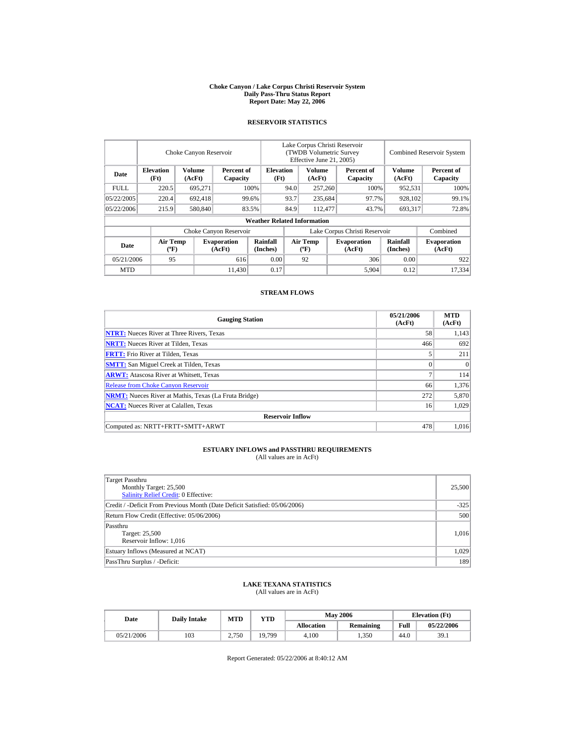#### **Choke Canyon / Lake Corpus Christi Reservoir System Daily Pass-Thru Status Report Report Date: May 22, 2006**

### **RESERVOIR STATISTICS**

|             |                                             | Choke Canyon Reservoir |                              |                                    | Lake Corpus Christi Reservoir<br>(TWDB Volumetric Survey<br>Effective June 21, 2005) |                                             |  |                              | <b>Combined Reservoir System</b> |                              |
|-------------|---------------------------------------------|------------------------|------------------------------|------------------------------------|--------------------------------------------------------------------------------------|---------------------------------------------|--|------------------------------|----------------------------------|------------------------------|
| Date        | <b>Elevation</b><br>(Ft)                    | Volume<br>(AcFt)       | Percent of<br>Capacity       | <b>Elevation</b><br>(Ft)           |                                                                                      | Volume<br>(AcFt)                            |  | Percent of<br>Capacity       | <b>Volume</b><br>(AcFt)          | Percent of<br>Capacity       |
| <b>FULL</b> | 220.5                                       | 695,271                |                              | 100%                               | 94.0                                                                                 | 257,260                                     |  | 100%                         | 952,531                          | 100%                         |
| 05/22/2005  | 220.4                                       | 692,418                |                              | 99.6%                              | 93.7                                                                                 | 235,684                                     |  | 97.7%                        | 928,102                          | 99.1%                        |
| 05/22/2006  | 215.9                                       | 580,840                |                              | 83.5%                              | 84.9                                                                                 | 112,477                                     |  | 43.7%                        | 693,317                          | 72.8%                        |
|             |                                             |                        |                              | <b>Weather Related Information</b> |                                                                                      |                                             |  |                              |                                  |                              |
|             |                                             |                        | Choke Canyon Reservoir       |                                    | Lake Corpus Christi Reservoir                                                        |                                             |  |                              |                                  | Combined                     |
| Date        | <b>Air Temp</b><br>$({}^{\circ}\mathrm{F})$ |                        | <b>Evaporation</b><br>(AcFt) | <b>Rainfall</b><br>(Inches)        |                                                                                      | <b>Air Temp</b><br>$({}^{\circ}\mathbf{F})$ |  | <b>Evaporation</b><br>(AcFt) | <b>Rainfall</b><br>(Inches)      | <b>Evaporation</b><br>(AcFt) |
| 05/21/2006  | 95                                          |                        | 616                          | 0.00                               |                                                                                      | 92                                          |  | 306                          | 0.00                             | 922                          |
| <b>MTD</b>  |                                             |                        | 11.430                       | 0.17                               |                                                                                      |                                             |  | 5,904                        | 0.12                             | 17.334                       |

### **STREAM FLOWS**

| <b>Gauging Station</b>                                       | 05/21/2006<br>(AcFt) | <b>MTD</b><br>(AcFt) |
|--------------------------------------------------------------|----------------------|----------------------|
| <b>NTRT:</b> Nueces River at Three Rivers, Texas             | 58                   | 1,143                |
| <b>NRTT:</b> Nueces River at Tilden, Texas                   | 466                  | 692                  |
| <b>FRTT:</b> Frio River at Tilden, Texas                     |                      | 211                  |
| <b>SMTT:</b> San Miguel Creek at Tilden, Texas               | $\theta$             | $\Omega$             |
| <b>ARWT:</b> Atascosa River at Whitsett, Texas               | 7                    | 114                  |
| <b>Release from Choke Canyon Reservoir</b>                   | 66                   | 1,376                |
| <b>NRMT:</b> Nueces River at Mathis, Texas (La Fruta Bridge) | 272                  | 5,870                |
| <b>NCAT:</b> Nueces River at Calallen, Texas                 | 16                   | 1,029                |
| <b>Reservoir Inflow</b>                                      |                      |                      |
| Computed as: NRTT+FRTT+SMTT+ARWT                             | 478                  | 1.016                |

# **ESTUARY INFLOWS and PASSTHRU REQUIREMENTS**<br>(All values are in AcFt)

| Target Passthru<br>Monthly Target: 25,500<br>Salinity Relief Credit: 0 Effective: | 25,500 |
|-----------------------------------------------------------------------------------|--------|
| Credit / -Deficit From Previous Month (Date Deficit Satisfied: 05/06/2006)        | $-325$ |
| Return Flow Credit (Effective: 05/06/2006)                                        | 500    |
| Passthru<br>Target: 25,500<br>Reservoir Inflow: 1,016                             | 1,016  |
| Estuary Inflows (Measured at NCAT)                                                | 1,029  |
| PassThru Surplus / -Deficit:                                                      | 189    |

## **LAKE TEXANA STATISTICS**

(All values are in AcFt)

| Date       | <b>Daily Intake</b> | <b>MTD</b> | YTD    |                   | <b>May 2006</b> | <b>Elevation</b> (Ft) |            |
|------------|---------------------|------------|--------|-------------------|-----------------|-----------------------|------------|
|            |                     |            |        | <b>Allocation</b> | Remaining       | Full                  | 05/22/2006 |
| 05/21/2006 | 103                 | 2.750      | 19,799 | 4.100             | 1.350           | 44.0                  | 39.1       |

Report Generated: 05/22/2006 at 8:40:12 AM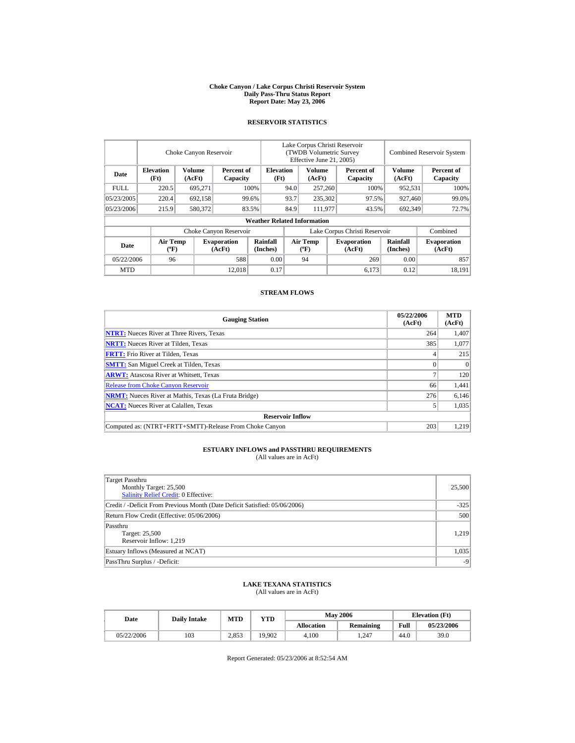#### **Choke Canyon / Lake Corpus Christi Reservoir System Daily Pass-Thru Status Report Report Date: May 23, 2006**

### **RESERVOIR STATISTICS**

|             |                                             | Choke Canyon Reservoir |                              |                                    | Lake Corpus Christi Reservoir<br><b>(TWDB Volumetric Survey)</b><br>Effective June 21, 2005) |                                             |  | <b>Combined Reservoir System</b> |                             |                              |
|-------------|---------------------------------------------|------------------------|------------------------------|------------------------------------|----------------------------------------------------------------------------------------------|---------------------------------------------|--|----------------------------------|-----------------------------|------------------------------|
| Date        | <b>Elevation</b><br>(Ft)                    | Volume<br>(AcFt)       | Percent of<br>Capacity       | <b>Elevation</b><br>(Ft)           |                                                                                              | Volume<br>(AcFt)                            |  | Percent of<br>Capacity           | <b>Volume</b><br>(AcFt)     | Percent of<br>Capacity       |
| <b>FULL</b> | 220.5                                       | 695,271                |                              | 100%                               | 94.0                                                                                         | 257,260                                     |  | 100%                             | 952,531                     | 100%                         |
| 05/23/2005  | 220.4                                       | 692,158                |                              | 99.6%                              | 93.7                                                                                         | 235,302                                     |  | 97.5%                            | 927,460                     | 99.0%                        |
| 05/23/2006  | 215.9                                       | 580,372                |                              | 83.5%                              | 84.9                                                                                         | 111,977                                     |  | 43.5%                            | 692,349                     | 72.7%                        |
|             |                                             |                        |                              | <b>Weather Related Information</b> |                                                                                              |                                             |  |                                  |                             |                              |
|             |                                             |                        | Choke Canyon Reservoir       |                                    | Lake Corpus Christi Reservoir                                                                |                                             |  |                                  | Combined                    |                              |
| Date        | <b>Air Temp</b><br>$({}^{\circ}\mathrm{F})$ |                        | <b>Evaporation</b><br>(AcFt) | Rainfall<br>(Inches)               |                                                                                              | <b>Air Temp</b><br>$({}^{\circ}\mathbf{F})$ |  | <b>Evaporation</b><br>(AcFt)     | <b>Rainfall</b><br>(Inches) | <b>Evaporation</b><br>(AcFt) |
| 05/22/2006  | 96                                          |                        | 588                          | 0.00                               |                                                                                              | 94                                          |  | 269                              | 0.00                        | 857                          |
| <b>MTD</b>  |                                             |                        | 12.018                       | 0.17                               |                                                                                              |                                             |  | 6,173                            | 0.12                        | 18.191                       |

### **STREAM FLOWS**

| <b>Gauging Station</b>                                       | 05/22/2006<br>(AcFt) | <b>MTD</b><br>(AcFt) |
|--------------------------------------------------------------|----------------------|----------------------|
| <b>NTRT:</b> Nueces River at Three Rivers, Texas             | 264                  | 1,407                |
| <b>NRTT:</b> Nueces River at Tilden, Texas                   | 385                  | 1,077                |
| <b>FRTT:</b> Frio River at Tilden, Texas                     |                      | 215                  |
| <b>SMTT:</b> San Miguel Creek at Tilden, Texas               |                      | $\Omega$             |
| <b>ARWT:</b> Atascosa River at Whitsett, Texas               |                      | 120                  |
| <b>Release from Choke Canyon Reservoir</b>                   | 66                   | 1,441                |
| <b>NRMT:</b> Nueces River at Mathis, Texas (La Fruta Bridge) | 276                  | 6,146                |
| <b>NCAT:</b> Nueces River at Calallen, Texas                 |                      | 1,035                |
| <b>Reservoir Inflow</b>                                      |                      |                      |
| Computed as: (NTRT+FRTT+SMTT)-Release From Choke Canyon      | 203                  | 1.219                |

# **ESTUARY INFLOWS and PASSTHRU REQUIREMENTS**<br>(All values are in AcFt)

| Target Passthru<br>Monthly Target: 25,500<br>Salinity Relief Credit: 0 Effective: | 25,500 |
|-----------------------------------------------------------------------------------|--------|
| Credit / -Deficit From Previous Month (Date Deficit Satisfied: 05/06/2006)        | $-325$ |
| Return Flow Credit (Effective: 05/06/2006)                                        | 500    |
| Passthru<br>Target: 25,500<br>Reservoir Inflow: 1,219                             | 1,219  |
| Estuary Inflows (Measured at NCAT)                                                | 1,035  |
| PassThru Surplus / -Deficit:                                                      | $-9$   |

## **LAKE TEXANA STATISTICS**

(All values are in AcFt)

| Date       | <b>Daily Intake</b> | <b>MTD</b> | YTD    |                   | <b>May 2006</b> | <b>Elevation</b> (Ft) |            |
|------------|---------------------|------------|--------|-------------------|-----------------|-----------------------|------------|
|            |                     |            |        | <b>Allocation</b> | Remaining       | Full                  | 05/23/2006 |
| 05/22/2006 | 103                 | 2.853      | 19.902 | 4.100             | .247            | 44.0                  | 39.0       |

Report Generated: 05/23/2006 at 8:52:54 AM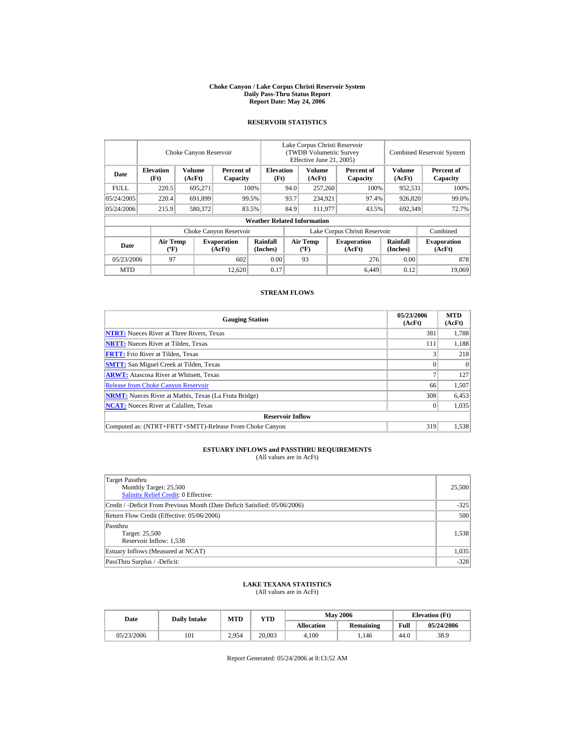#### **Choke Canyon / Lake Corpus Christi Reservoir System Daily Pass-Thru Status Report Report Date: May 24, 2006**

### **RESERVOIR STATISTICS**

|             |                                             | Choke Canyon Reservoir |                              |                                    | Lake Corpus Christi Reservoir<br>(TWDB Volumetric Survey<br>Effective June 21, 2005) |                                             |  |                              | <b>Combined Reservoir System</b> |                              |
|-------------|---------------------------------------------|------------------------|------------------------------|------------------------------------|--------------------------------------------------------------------------------------|---------------------------------------------|--|------------------------------|----------------------------------|------------------------------|
| Date        | <b>Elevation</b><br>(Ft)                    | Volume<br>(AcFt)       | Percent of<br>Capacity       | <b>Elevation</b><br>(Ft)           |                                                                                      | Volume<br>(AcFt)                            |  | Percent of<br>Capacity       | <b>Volume</b><br>(AcFt)          | Percent of<br>Capacity       |
| <b>FULL</b> | 220.5                                       | 695,271                |                              | 100%                               | 94.0                                                                                 | 257,260                                     |  | 100%                         | 952,531                          | 100%                         |
| 05/24/2005  | 220.4                                       | 691,899                |                              | 99.5%                              | 93.7                                                                                 | 234,921                                     |  | 97.4%                        | 926,820                          | 99.0%                        |
| 05/24/2006  | 215.9                                       | 580,372                |                              | 83.5%                              | 84.9                                                                                 | 111,977                                     |  | 43.5%                        | 692,349                          | 72.7%                        |
|             |                                             |                        |                              | <b>Weather Related Information</b> |                                                                                      |                                             |  |                              |                                  |                              |
|             |                                             |                        | Choke Canyon Reservoir       |                                    | Lake Corpus Christi Reservoir                                                        |                                             |  |                              |                                  | Combined                     |
| Date        | <b>Air Temp</b><br>$({}^{\circ}\mathrm{F})$ |                        | <b>Evaporation</b><br>(AcFt) | Rainfall<br>(Inches)               |                                                                                      | <b>Air Temp</b><br>$({}^{\circ}\mathbf{F})$ |  | <b>Evaporation</b><br>(AcFt) | <b>Rainfall</b><br>(Inches)      | <b>Evaporation</b><br>(AcFt) |
| 05/23/2006  | 97                                          |                        | 602                          | 0.00                               |                                                                                      | 93                                          |  | 276                          | 0.00                             | 878                          |
| <b>MTD</b>  |                                             |                        | 12.620                       | 0.17                               |                                                                                      |                                             |  | 6.449                        | 0.12                             | 19,069                       |

### **STREAM FLOWS**

| <b>Gauging Station</b>                                       | 05/23/2006<br>(AcFt) | <b>MTD</b><br>(AcFt) |
|--------------------------------------------------------------|----------------------|----------------------|
| <b>NTRT:</b> Nueces River at Three Rivers, Texas             | 381                  | 1.788                |
| <b>NRTT:</b> Nueces River at Tilden, Texas                   | 111                  | 1,188                |
| <b>FRTT:</b> Frio River at Tilden, Texas                     |                      | 218                  |
| <b>SMTT:</b> San Miguel Creek at Tilden, Texas               | 0                    | $\Omega$             |
| <b>ARWT:</b> Atascosa River at Whitsett, Texas               |                      | 127                  |
| <b>Release from Choke Canyon Reservoir</b>                   | 66                   | 1,507                |
| <b>NRMT:</b> Nueces River at Mathis, Texas (La Fruta Bridge) | 308                  | 6,453                |
| <b>NCAT:</b> Nueces River at Calallen, Texas                 | $_{0}$               | 1,035                |
| <b>Reservoir Inflow</b>                                      |                      |                      |
| Computed as: (NTRT+FRTT+SMTT)-Release From Choke Canyon      | 319                  | 1.538                |

# **ESTUARY INFLOWS and PASSTHRU REQUIREMENTS**<br>(All values are in AcFt)

| Target Passthru<br>Monthly Target: 25,500<br>Salinity Relief Credit: 0 Effective: | 25,500 |
|-----------------------------------------------------------------------------------|--------|
| Credit / -Deficit From Previous Month (Date Deficit Satisfied: 05/06/2006)        | $-325$ |
| Return Flow Credit (Effective: 05/06/2006)                                        | 500    |
| Passthru<br>Target: 25,500<br>Reservoir Inflow: 1,538                             | 1,538  |
| Estuary Inflows (Measured at NCAT)                                                | 1,035  |
| PassThru Surplus / -Deficit:                                                      | $-328$ |

## **LAKE TEXANA STATISTICS**

(All values are in AcFt)

| Date       | <b>Daily Intake</b> | <b>MTD</b> | YTD    |                   | <b>May 2006</b> | <b>Elevation</b> (Ft) |            |
|------------|---------------------|------------|--------|-------------------|-----------------|-----------------------|------------|
|            |                     |            |        | <b>Allocation</b> | Remaining       | Full                  | 05/24/2006 |
| 05/23/2006 | 101                 | 2.954      | 20.003 | 4.100             | 1.146           | 44.0                  | 38.9       |

Report Generated: 05/24/2006 at 8:13:52 AM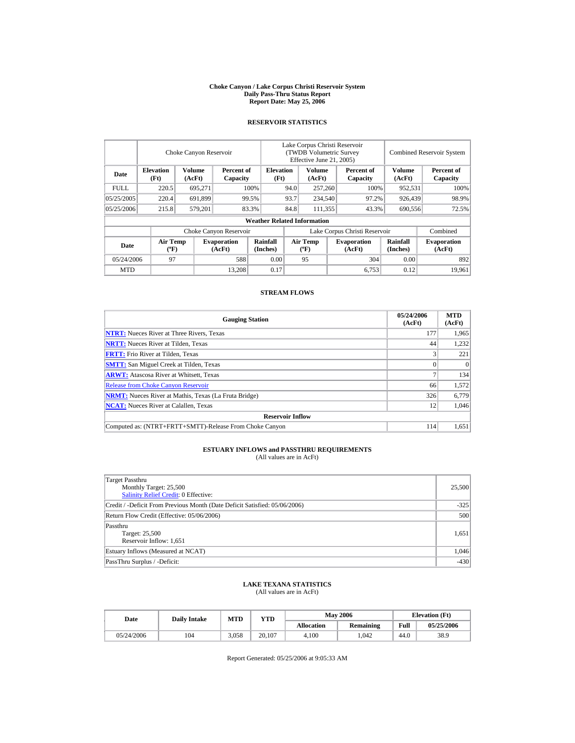#### **Choke Canyon / Lake Corpus Christi Reservoir System Daily Pass-Thru Status Report Report Date: May 25, 2006**

### **RESERVOIR STATISTICS**

|             |                                             | Choke Canyon Reservoir |                              |                                    | Lake Corpus Christi Reservoir<br><b>(TWDB Volumetric Survey)</b><br>Effective June 21, 2005) |                                      |  |                              | <b>Combined Reservoir System</b> |                              |
|-------------|---------------------------------------------|------------------------|------------------------------|------------------------------------|----------------------------------------------------------------------------------------------|--------------------------------------|--|------------------------------|----------------------------------|------------------------------|
| Date        | <b>Elevation</b><br>(Ft)                    | Volume<br>(AcFt)       | Percent of<br>Capacity       | <b>Elevation</b><br>(Ft)           |                                                                                              | Volume<br>(AcFt)                     |  | Percent of<br>Capacity       | <b>Volume</b><br>(AcFt)          | Percent of<br>Capacity       |
| <b>FULL</b> | 220.5                                       | 695,271                |                              | 100%                               | 94.0                                                                                         | 257,260                              |  | 100%                         | 952,531                          | 100%                         |
| 05/25/2005  | 220.4                                       | 691,899                |                              | 99.5%                              | 93.7                                                                                         | 234,540                              |  | 97.2%                        | 926,439                          | 98.9%                        |
| 05/25/2006  | 215.8                                       | 579,201                |                              | 83.3%                              | 84.8                                                                                         | 111,355                              |  | 43.3%                        | 690,556                          | 72.5%                        |
|             |                                             |                        |                              | <b>Weather Related Information</b> |                                                                                              |                                      |  |                              |                                  |                              |
|             |                                             |                        | Choke Canyon Reservoir       |                                    | Lake Corpus Christi Reservoir                                                                |                                      |  |                              |                                  | Combined                     |
| Date        | <b>Air Temp</b><br>$({}^{\circ}\mathrm{F})$ |                        | <b>Evaporation</b><br>(AcFt) | Rainfall<br>(Inches)               |                                                                                              | Air Temp<br>$({}^{\circ}\mathbf{F})$ |  | <b>Evaporation</b><br>(AcFt) | <b>Rainfall</b><br>(Inches)      | <b>Evaporation</b><br>(AcFt) |
| 05/24/2006  | 97                                          |                        | 588                          | 0.00                               |                                                                                              | 95                                   |  | 304                          | 0.00                             | 892                          |
| <b>MTD</b>  |                                             |                        | 13.208                       | 0.17                               |                                                                                              |                                      |  | 6.753                        | 0.12                             | 19.961                       |

### **STREAM FLOWS**

| <b>Gauging Station</b>                                       | 05/24/2006<br>(AcFt) | <b>MTD</b><br>(AcFt) |
|--------------------------------------------------------------|----------------------|----------------------|
| <b>NTRT:</b> Nueces River at Three Rivers, Texas             | 177                  | 1,965                |
| <b>NRTT:</b> Nueces River at Tilden, Texas                   | 44                   | 1,232                |
| <b>FRTT:</b> Frio River at Tilden, Texas                     |                      | 221                  |
| <b>SMTT:</b> San Miguel Creek at Tilden, Texas               | 0                    | $\Omega$             |
| <b>ARWT:</b> Atascosa River at Whitsett, Texas               |                      | 134                  |
| <b>Release from Choke Canyon Reservoir</b>                   | 66                   | 1.572                |
| <b>NRMT:</b> Nueces River at Mathis, Texas (La Fruta Bridge) | 326                  | 6,779                |
| <b>NCAT:</b> Nueces River at Calallen, Texas                 | 12                   | 1,046                |
| <b>Reservoir Inflow</b>                                      |                      |                      |
| Computed as: (NTRT+FRTT+SMTT)-Release From Choke Canyon      | 114                  | 1.651                |

# **ESTUARY INFLOWS and PASSTHRU REQUIREMENTS**<br>(All values are in AcFt)

| Target Passthru<br>Monthly Target: 25,500<br><b>Salinity Relief Credit: 0 Effective:</b> | 25,500 |
|------------------------------------------------------------------------------------------|--------|
| Credit / -Deficit From Previous Month (Date Deficit Satisfied: 05/06/2006)               | $-325$ |
| Return Flow Credit (Effective: 05/06/2006)                                               | 500    |
| Passthru<br>Target: 25,500<br>Reservoir Inflow: 1,651                                    | 1,651  |
| Estuary Inflows (Measured at NCAT)                                                       | 1,046  |
| PassThru Surplus / -Deficit:                                                             | $-430$ |

## **LAKE TEXANA STATISTICS**

(All values are in AcFt)

| Date       | <b>Daily Intake</b> | <b>MTD</b> | YTD    |                   | <b>May 2006</b> | <b>Elevation</b> (Ft) |            |
|------------|---------------------|------------|--------|-------------------|-----------------|-----------------------|------------|
|            |                     |            |        | <b>Allocation</b> | Remaining       | Full                  | 05/25/2006 |
| 05/24/2006 | 104                 | 3.058      | 20.107 | 4.100             | .042            | 44.0                  | 38.9       |

Report Generated: 05/25/2006 at 9:05:33 AM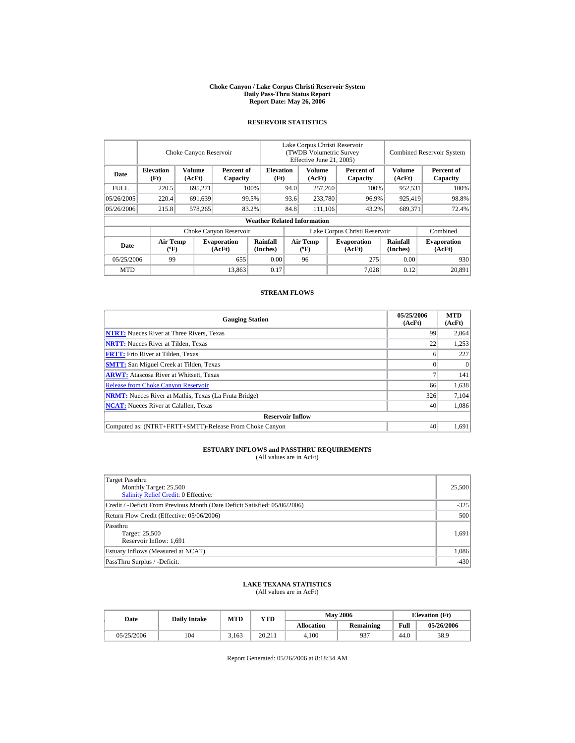#### **Choke Canyon / Lake Corpus Christi Reservoir System Daily Pass-Thru Status Report Report Date: May 26, 2006**

### **RESERVOIR STATISTICS**

|            | Choke Canyon Reservoir                      |                  |                              |                                    | Lake Corpus Christi Reservoir<br>(TWDB Volumetric Survey<br>Effective June 21, 2005) |                                             |  |                              | <b>Combined Reservoir System</b> |                              |  |
|------------|---------------------------------------------|------------------|------------------------------|------------------------------------|--------------------------------------------------------------------------------------|---------------------------------------------|--|------------------------------|----------------------------------|------------------------------|--|
| Date       | <b>Elevation</b><br>(Ft)                    | Volume<br>(AcFt) | Percent of<br>Capacity       | <b>Elevation</b><br>(Ft)           |                                                                                      | Volume<br>(AcFt)                            |  | Percent of<br>Capacity       | Volume<br>(AcFt)                 | Percent of<br>Capacity       |  |
| FULL.      | 220.5                                       | 695,271          |                              | 100%                               | 94.0                                                                                 | 257,260                                     |  | 100%                         | 952,531                          | 100%                         |  |
| 05/26/2005 | 220.4                                       | 691,639          |                              | 99.5%                              | 93.6                                                                                 | 233,780                                     |  | 96.9%                        | 925,419                          | 98.8%                        |  |
| 05/26/2006 | 215.8                                       | 578,265          |                              | 83.2%                              | 84.8                                                                                 | 111.106                                     |  | 43.2%                        | 689,371                          | 72.4%                        |  |
|            |                                             |                  |                              | <b>Weather Related Information</b> |                                                                                      |                                             |  |                              |                                  |                              |  |
|            |                                             |                  | Choke Canyon Reservoir       |                                    | Lake Corpus Christi Reservoir                                                        |                                             |  |                              |                                  | Combined                     |  |
| Date       | <b>Air Temp</b><br>$({}^{\circ}\mathrm{F})$ |                  | <b>Evaporation</b><br>(AcFt) | Rainfall<br>(Inches)               |                                                                                      | <b>Air Temp</b><br>$({}^{\circ}\mathbf{F})$ |  | <b>Evaporation</b><br>(AcFt) | <b>Rainfall</b><br>(Inches)      | <b>Evaporation</b><br>(AcFt) |  |
| 05/25/2006 | 99                                          |                  | 655                          | 0.00                               |                                                                                      | 96                                          |  | 275                          | 0.00                             | 930                          |  |
| <b>MTD</b> |                                             |                  | 13,863                       | 0.17                               |                                                                                      |                                             |  | 7.028                        | 0.12                             | 20.891                       |  |

### **STREAM FLOWS**

| <b>Gauging Station</b>                                       | 05/25/2006<br>(AcFt) | <b>MTD</b><br>(AcFt) |
|--------------------------------------------------------------|----------------------|----------------------|
| <b>NTRT:</b> Nueces River at Three Rivers, Texas             | 99                   | 2,064                |
| <b>NRTT:</b> Nueces River at Tilden, Texas                   | 22                   | 1,253                |
| <b>FRTT:</b> Frio River at Tilden, Texas                     | o                    | 227                  |
| <b>SMTT:</b> San Miguel Creek at Tilden, Texas               |                      | $\Omega$             |
| <b>ARWT:</b> Atascosa River at Whitsett, Texas               |                      | 141                  |
| <b>Release from Choke Canyon Reservoir</b>                   | 66                   | 1,638                |
| <b>NRMT:</b> Nueces River at Mathis, Texas (La Fruta Bridge) | 326                  | 7,104                |
| <b>NCAT:</b> Nueces River at Calallen, Texas                 | 40                   | 1,086                |
| <b>Reservoir Inflow</b>                                      |                      |                      |
| Computed as: (NTRT+FRTT+SMTT)-Release From Choke Canyon      | 40                   | 1.691                |

# **ESTUARY INFLOWS and PASSTHRU REQUIREMENTS**<br>(All values are in AcFt)

| Target Passthru<br>Monthly Target: 25,500<br>Salinity Relief Credit: 0 Effective: | 25,500 |
|-----------------------------------------------------------------------------------|--------|
| Credit / -Deficit From Previous Month (Date Deficit Satisfied: 05/06/2006)        | $-325$ |
| Return Flow Credit (Effective: 05/06/2006)                                        | 500    |
| Passthru<br>Target: 25,500<br>Reservoir Inflow: 1,691                             | 1,691  |
| Estuary Inflows (Measured at NCAT)                                                | 1,086  |
| PassThru Surplus / -Deficit:                                                      | $-430$ |

## **LAKE TEXANA STATISTICS**

(All values are in AcFt)

| Date       | <b>Daily Intake</b> | <b>MTD</b> | YTD    |                   | <b>May 2006</b> | <b>Elevation</b> (Ft) |            |
|------------|---------------------|------------|--------|-------------------|-----------------|-----------------------|------------|
|            |                     |            |        | <b>Allocation</b> | Remaining       | Full                  | 05/26/2006 |
| 05/25/2006 | 104                 | 3.163      | 20.211 | 4.100             | 937             | 44.0                  | 38.9       |

Report Generated: 05/26/2006 at 8:18:34 AM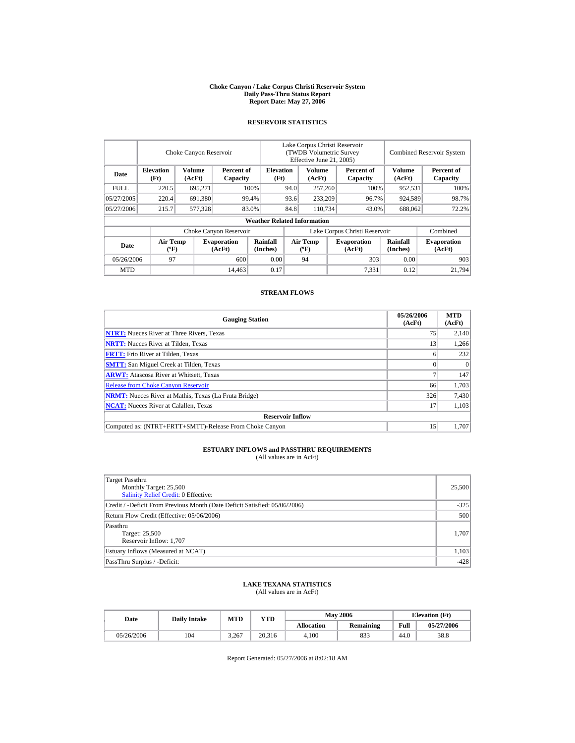#### **Choke Canyon / Lake Corpus Christi Reservoir System Daily Pass-Thru Status Report Report Date: May 27, 2006**

### **RESERVOIR STATISTICS**

|             | Choke Canyon Reservoir                      |                  |                              |                                    | Lake Corpus Christi Reservoir<br>(TWDB Volumetric Survey<br>Effective June 21, 2005) |                                      |  |                              | <b>Combined Reservoir System</b> |                              |  |
|-------------|---------------------------------------------|------------------|------------------------------|------------------------------------|--------------------------------------------------------------------------------------|--------------------------------------|--|------------------------------|----------------------------------|------------------------------|--|
| Date        | <b>Elevation</b><br>(Ft)                    | Volume<br>(AcFt) | Percent of<br>Capacity       | <b>Elevation</b><br>(Ft)           |                                                                                      | Volume<br>(AcFt)                     |  | Percent of<br>Capacity       | <b>Volume</b><br>(AcFt)          | Percent of<br>Capacity       |  |
| <b>FULL</b> | 220.5                                       | 695,271          |                              | 100%                               | 94.0                                                                                 | 257,260                              |  | 100%                         | 952,531                          | 100%                         |  |
| 05/27/2005  | 220.4                                       | 691,380          |                              | 99.4%                              | 93.6                                                                                 | 233,209                              |  | 96.7%                        | 924,589                          | 98.7%                        |  |
| 05/27/2006  | 215.7                                       | 577,328          |                              | 83.0%                              | 84.8                                                                                 | 110,734                              |  | 43.0%                        | 688,062                          | 72.2%                        |  |
|             |                                             |                  |                              | <b>Weather Related Information</b> |                                                                                      |                                      |  |                              |                                  |                              |  |
|             |                                             |                  | Choke Canyon Reservoir       |                                    | Lake Corpus Christi Reservoir                                                        |                                      |  |                              |                                  | Combined                     |  |
| Date        | <b>Air Temp</b><br>$({}^{\circ}\mathrm{F})$ |                  | <b>Evaporation</b><br>(AcFt) | Rainfall<br>(Inches)               |                                                                                      | Air Temp<br>$({}^{\circ}\mathbf{F})$ |  | <b>Evaporation</b><br>(AcFt) | <b>Rainfall</b><br>(Inches)      | <b>Evaporation</b><br>(AcFt) |  |
| 05/26/2006  | 97                                          |                  | 600                          | 0.00                               |                                                                                      | 94                                   |  | 303                          | 0.00                             | 903                          |  |
| <b>MTD</b>  |                                             |                  | 14,463                       | 0.17                               |                                                                                      |                                      |  | 7,331                        | 0.12                             | 21.794                       |  |

### **STREAM FLOWS**

| <b>Gauging Station</b>                                       | 05/26/2006<br>(AcFt) | <b>MTD</b><br>(AcFt) |
|--------------------------------------------------------------|----------------------|----------------------|
| <b>NTRT:</b> Nueces River at Three Rivers, Texas             | 75                   | 2,140                |
| <b>NRTT:</b> Nueces River at Tilden, Texas                   | 13                   | 1,266                |
| <b>FRTT:</b> Frio River at Tilden, Texas                     | o                    | 232                  |
| <b>SMTT:</b> San Miguel Creek at Tilden, Texas               |                      | $\Omega$             |
| <b>ARWT:</b> Atascosa River at Whitsett, Texas               |                      | 147                  |
| <b>Release from Choke Canyon Reservoir</b>                   | 66                   | 1.703                |
| <b>NRMT:</b> Nueces River at Mathis, Texas (La Fruta Bridge) | 326                  | 7,430                |
| <b>NCAT:</b> Nueces River at Calallen, Texas                 | 17                   | 1,103                |
| <b>Reservoir Inflow</b>                                      |                      |                      |
| Computed as: (NTRT+FRTT+SMTT)-Release From Choke Canyon      | 15                   | 1.707                |

# **ESTUARY INFLOWS and PASSTHRU REQUIREMENTS**<br>(All values are in AcFt)

| Target Passthru<br>Monthly Target: 25,500<br>Salinity Relief Credit: 0 Effective: | 25,500 |
|-----------------------------------------------------------------------------------|--------|
| Credit / -Deficit From Previous Month (Date Deficit Satisfied: 05/06/2006)        | $-325$ |
| Return Flow Credit (Effective: 05/06/2006)                                        | 500    |
| Passthru<br>Target: 25,500<br>Reservoir Inflow: 1,707                             | 1.707  |
| Estuary Inflows (Measured at NCAT)                                                | 1,103  |
| PassThru Surplus / -Deficit:                                                      | $-428$ |

### **LAKE TEXANA STATISTICS**

(All values are in AcFt)

| Date       | <b>Daily Intake</b> | <b>MTD</b> | <b>YTD</b> |            | <b>May 2006</b>  | <b>Elevation</b> (Ft) |            |
|------------|---------------------|------------|------------|------------|------------------|-----------------------|------------|
|            |                     |            |            | Allocation | <b>Remaining</b> | Full                  | 05/27/2006 |
| 05/26/2006 | 104                 | 3.267      | 20,316     | 4.100      | 833              | 44.0                  | 38.8       |

Report Generated: 05/27/2006 at 8:02:18 AM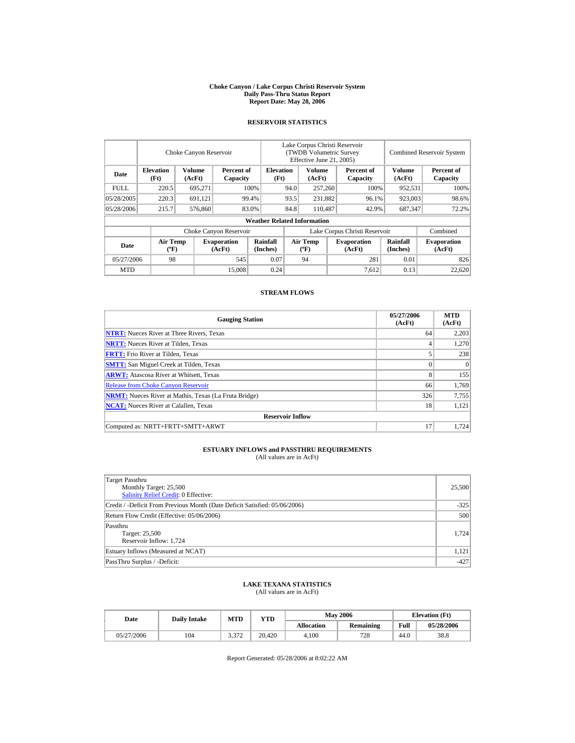#### **Choke Canyon / Lake Corpus Christi Reservoir System Daily Pass-Thru Status Report Report Date: May 28, 2006**

### **RESERVOIR STATISTICS**

|             | Choke Canyon Reservoir                      |                  |                              |                                    | Lake Corpus Christi Reservoir<br><b>(TWDB Volumetric Survey)</b><br>Effective June 21, 2005) |                                      |  |                              | <b>Combined Reservoir System</b> |                              |  |
|-------------|---------------------------------------------|------------------|------------------------------|------------------------------------|----------------------------------------------------------------------------------------------|--------------------------------------|--|------------------------------|----------------------------------|------------------------------|--|
| Date        | <b>Elevation</b><br>(Ft)                    | Volume<br>(AcFt) | Percent of<br>Capacity       | <b>Elevation</b><br>(Ft)           |                                                                                              | Volume<br>(AcFt)                     |  | Percent of<br>Capacity       | <b>Volume</b><br>(AcFt)          | Percent of<br>Capacity       |  |
| <b>FULL</b> | 220.5                                       | 695,271          |                              | 100%                               | 94.0                                                                                         | 257,260                              |  | 100%                         | 952,531                          | 100%                         |  |
| 05/28/2005  | 220.3                                       | 691,121          |                              | 99.4%                              | 93.5                                                                                         | 231,882                              |  | 96.1%                        | 923,003                          | 98.6%                        |  |
| 05/28/2006  | 215.7                                       | 576,860          |                              | 83.0%                              | 84.8                                                                                         | 110,487                              |  | 42.9%                        | 687,347                          | 72.2%                        |  |
|             |                                             |                  |                              | <b>Weather Related Information</b> |                                                                                              |                                      |  |                              |                                  |                              |  |
|             |                                             |                  | Choke Canyon Reservoir       |                                    | Lake Corpus Christi Reservoir                                                                |                                      |  |                              |                                  | Combined                     |  |
| Date        | <b>Air Temp</b><br>$({}^{\circ}\mathrm{F})$ |                  | <b>Evaporation</b><br>(AcFt) | Rainfall<br>(Inches)               |                                                                                              | Air Temp<br>$({}^{\circ}\mathbf{F})$ |  | <b>Evaporation</b><br>(AcFt) | <b>Rainfall</b><br>(Inches)      | <b>Evaporation</b><br>(AcFt) |  |
| 05/27/2006  | 98                                          |                  | 545                          | 0.07                               |                                                                                              | 94                                   |  | 281                          | 0.01                             | 826                          |  |
| <b>MTD</b>  |                                             |                  | 15,008                       | 0.24                               |                                                                                              |                                      |  | 7,612                        | 0.13                             | 22,620                       |  |

### **STREAM FLOWS**

| <b>Gauging Station</b>                                       | 05/27/2006<br>(AcFt) | <b>MTD</b><br>(AcFt) |
|--------------------------------------------------------------|----------------------|----------------------|
| <b>NTRT:</b> Nueces River at Three Rivers, Texas             | 64                   | 2.203                |
| <b>NRTT:</b> Nueces River at Tilden, Texas                   | 4                    | 1,270                |
| <b>FRTT:</b> Frio River at Tilden, Texas                     |                      | 238                  |
| <b>SMTT:</b> San Miguel Creek at Tilden, Texas               | $\Omega$             | $\Omega$             |
| <b>ARWT:</b> Atascosa River at Whitsett, Texas               | 8                    | 155                  |
| <b>Release from Choke Canyon Reservoir</b>                   | 66                   | 1.769                |
| <b>NRMT:</b> Nueces River at Mathis, Texas (La Fruta Bridge) | 326                  | 7,755                |
| <b>NCAT:</b> Nueces River at Calallen. Texas                 | 18                   | 1,121                |
| <b>Reservoir Inflow</b>                                      |                      |                      |
| Computed as: NRTT+FRTT+SMTT+ARWT                             | 17                   | 1.724                |

# **ESTUARY INFLOWS and PASSTHRU REQUIREMENTS**<br>(All values are in AcFt)

| Target Passthru<br>Monthly Target: 25,500<br><b>Salinity Relief Credit: 0 Effective:</b> | 25,500 |
|------------------------------------------------------------------------------------------|--------|
| Credit / -Deficit From Previous Month (Date Deficit Satisfied: 05/06/2006)               | $-325$ |
| Return Flow Credit (Effective: 05/06/2006)                                               | 500    |
| Passthru<br>Target: 25,500<br>Reservoir Inflow: 1,724                                    | 1.724  |
| Estuary Inflows (Measured at NCAT)                                                       | 1.121  |
| PassThru Surplus / -Deficit:                                                             | $-427$ |

## **LAKE TEXANA STATISTICS**

(All values are in AcFt)

| Date       | <b>Daily Intake</b> | <b>MTD</b> | YTD    |                   | <b>May 2006</b>  | <b>Elevation</b> (Ft) |            |
|------------|---------------------|------------|--------|-------------------|------------------|-----------------------|------------|
|            |                     |            |        | <b>Allocation</b> | <b>Remaining</b> | Full                  | 05/28/2006 |
| 05/27/2006 | 104                 | 3.372      | 20.420 | 4.100             | 728              | 44.0                  | 38.8       |

Report Generated: 05/28/2006 at 8:02:22 AM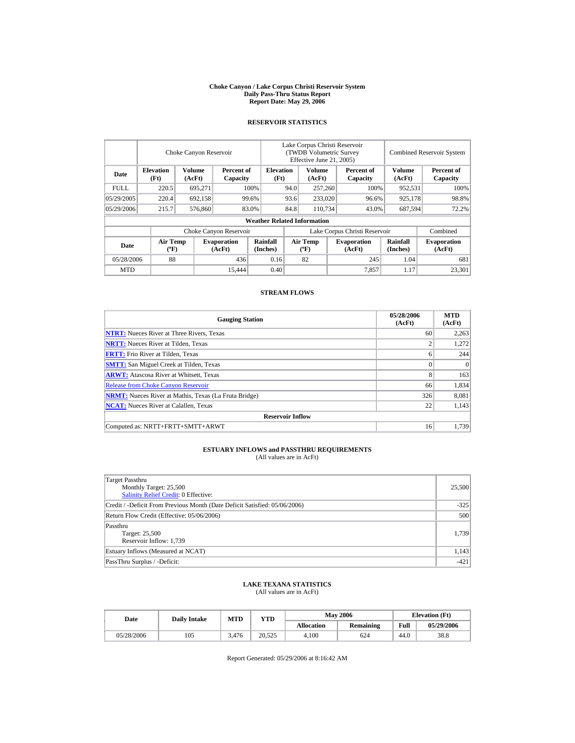#### **Choke Canyon / Lake Corpus Christi Reservoir System Daily Pass-Thru Status Report Report Date: May 29, 2006**

### **RESERVOIR STATISTICS**

|            |                                             | Choke Canyon Reservoir |                              |                                    | Lake Corpus Christi Reservoir<br>(TWDB Volumetric Survey<br>Effective June 21, 2005) |                                             |  |                              |                             | <b>Combined Reservoir System</b> |
|------------|---------------------------------------------|------------------------|------------------------------|------------------------------------|--------------------------------------------------------------------------------------|---------------------------------------------|--|------------------------------|-----------------------------|----------------------------------|
| Date       | <b>Elevation</b><br>(Ft)                    | Volume<br>(AcFt)       | Percent of<br>Capacity       | <b>Elevation</b><br>(Ft)           |                                                                                      | Volume<br>(AcFt)                            |  | Percent of<br>Capacity       | Volume<br>(AcFt)            | Percent of<br>Capacity           |
| FULL.      | 220.5                                       | 695,271                |                              | 100%                               | 94.0                                                                                 | 257,260                                     |  | 100%                         | 952,531                     | 100%                             |
| 05/29/2005 | 220.4                                       | 692,158                |                              | 99.6%                              | 93.6                                                                                 | 233,020                                     |  | 96.6%                        | 925,178                     | 98.8%                            |
| 05/29/2006 | 215.7                                       | 576,860                |                              | 83.0%                              | 84.8                                                                                 | 110.734                                     |  | 43.0%                        | 687,594                     | 72.2%                            |
|            |                                             |                        |                              | <b>Weather Related Information</b> |                                                                                      |                                             |  |                              |                             |                                  |
|            |                                             |                        | Choke Canyon Reservoir       |                                    | Lake Corpus Christi Reservoir                                                        |                                             |  |                              |                             | Combined                         |
| Date       | <b>Air Temp</b><br>$({}^{\circ}\mathrm{F})$ |                        | <b>Evaporation</b><br>(AcFt) | Rainfall<br>(Inches)               |                                                                                      | <b>Air Temp</b><br>$({}^{\circ}\mathbf{F})$ |  | <b>Evaporation</b><br>(AcFt) | <b>Rainfall</b><br>(Inches) | <b>Evaporation</b><br>(AcFt)     |
| 05/28/2006 | 88                                          |                        | 436                          | 0.16                               |                                                                                      | 82                                          |  | 245                          | 1.04                        | 681                              |
| <b>MTD</b> |                                             |                        | 15.444                       | 0.40                               |                                                                                      |                                             |  | 7,857                        | 1.17                        | 23.301                           |

### **STREAM FLOWS**

| <b>Gauging Station</b>                                       | 05/28/2006<br>(AcFt) | <b>MTD</b><br>(AcFt) |
|--------------------------------------------------------------|----------------------|----------------------|
| <b>NTRT:</b> Nueces River at Three Rivers, Texas             | 60                   | 2,263                |
| <b>NRTT:</b> Nueces River at Tilden, Texas                   | $\overline{2}$       | 1,272                |
| <b>FRTT:</b> Frio River at Tilden, Texas                     | 6                    | 244                  |
| <b>SMTT:</b> San Miguel Creek at Tilden, Texas               | $\Omega$             | $\Omega$             |
| <b>ARWT:</b> Atascosa River at Whitsett, Texas               | 8                    | 163                  |
| <b>Release from Choke Canyon Reservoir</b>                   | 66                   | 1,834                |
| <b>NRMT:</b> Nueces River at Mathis, Texas (La Fruta Bridge) | 326                  | 8,081                |
| <b>NCAT:</b> Nueces River at Calallen, Texas                 | 22                   | 1,143                |
| <b>Reservoir Inflow</b>                                      |                      |                      |
| Computed as: NRTT+FRTT+SMTT+ARWT                             | 16                   | 1.739                |

# **ESTUARY INFLOWS and PASSTHRU REQUIREMENTS**<br>(All values are in AcFt)

| Target Passthru<br>Monthly Target: 25,500<br><b>Salinity Relief Credit: 0 Effective:</b> | 25,500 |
|------------------------------------------------------------------------------------------|--------|
| Credit / -Deficit From Previous Month (Date Deficit Satisfied: 05/06/2006)               | $-325$ |
| Return Flow Credit (Effective: 05/06/2006)                                               | 500    |
| Passthru<br>Target: 25,500<br>Reservoir Inflow: 1,739                                    | 1,739  |
| Estuary Inflows (Measured at NCAT)                                                       | 1,143  |
| PassThru Surplus / -Deficit:                                                             | $-421$ |

## **LAKE TEXANA STATISTICS**

(All values are in AcFt)

| Date       | <b>Daily Intake</b> | <b>MTD</b> | YTD    |                   | <b>May 2006</b> | <b>Elevation</b> (Ft) |            |
|------------|---------------------|------------|--------|-------------------|-----------------|-----------------------|------------|
|            |                     |            |        | <b>Allocation</b> | Remaining       | Full                  | 05/29/2006 |
| 05/28/2006 | 105                 | 3.476      | 20.525 | 4.100             | 624             | 44.0                  | 38.8       |

Report Generated: 05/29/2006 at 8:16:42 AM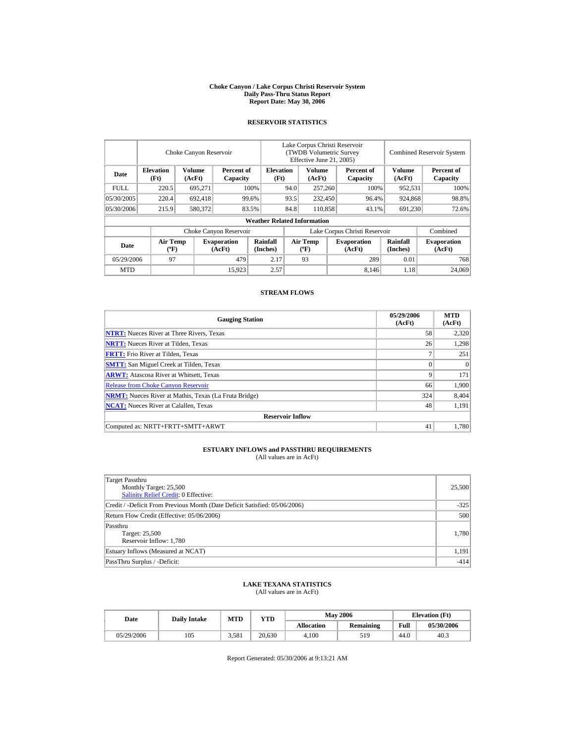#### **Choke Canyon / Lake Corpus Christi Reservoir System Daily Pass-Thru Status Report Report Date: May 30, 2006**

### **RESERVOIR STATISTICS**

|             |                                             | Choke Canyon Reservoir |                              |                                    | Lake Corpus Christi Reservoir<br>(TWDB Volumetric Survey<br>Effective June 21, 2005) |                           |  |                              |                             | <b>Combined Reservoir System</b> |
|-------------|---------------------------------------------|------------------------|------------------------------|------------------------------------|--------------------------------------------------------------------------------------|---------------------------|--|------------------------------|-----------------------------|----------------------------------|
| Date        | <b>Elevation</b><br>(Ft)                    | Volume<br>(AcFt)       | Percent of<br>Capacity       | <b>Elevation</b><br>(Ft)           |                                                                                      | Volume<br>(AcFt)          |  | Percent of<br>Capacity       | <b>Volume</b><br>(AcFt)     | Percent of<br>Capacity           |
| <b>FULL</b> | 220.5                                       | 695,271                |                              | 100%                               | 94.0                                                                                 | 257,260                   |  | 100%                         | 952,531                     | 100%                             |
| 05/30/2005  | 220.4                                       | 692,418                |                              | 99.6%                              | 93.5                                                                                 | 232,450                   |  | 96.4%                        | 924,868                     | 98.8%                            |
| 05/30/2006  | 215.9                                       | 580,372                |                              | 83.5%                              | 84.8                                                                                 | 110,858                   |  | 43.1%                        | 691,230                     | 72.6%                            |
|             |                                             |                        |                              | <b>Weather Related Information</b> |                                                                                      |                           |  |                              |                             |                                  |
|             |                                             |                        | Choke Canyon Reservoir       |                                    | Lake Corpus Christi Reservoir                                                        |                           |  |                              |                             | Combined                         |
| Date        | <b>Air Temp</b><br>$({}^{\circ}\mathrm{F})$ |                        | <b>Evaporation</b><br>(AcFt) | <b>Rainfall</b><br>(Inches)        |                                                                                      | Air Temp<br>$(^{\circ}F)$ |  | <b>Evaporation</b><br>(AcFt) | <b>Rainfall</b><br>(Inches) | <b>Evaporation</b><br>(AcFt)     |
| 05/29/2006  | 97                                          |                        | 479                          | 2.17                               |                                                                                      | 93                        |  | 289                          | 0.01                        | 768                              |
| <b>MTD</b>  |                                             |                        | 15.923                       | 2.57                               |                                                                                      |                           |  | 8,146                        | 1.18                        | 24,069                           |

### **STREAM FLOWS**

| <b>Gauging Station</b>                                       | 05/29/2006<br>(AcFt) | <b>MTD</b><br>(AcFt) |
|--------------------------------------------------------------|----------------------|----------------------|
| <b>NTRT:</b> Nueces River at Three Rivers, Texas             | 58                   | 2,320                |
| <b>NRTT:</b> Nueces River at Tilden, Texas                   | 26                   | 1,298                |
| <b>FRTT:</b> Frio River at Tilden, Texas                     | 7                    | 251                  |
| <b>SMTT:</b> San Miguel Creek at Tilden, Texas               | $\Omega$             | $\Omega$             |
| <b>ARWT:</b> Atascosa River at Whitsett, Texas               | 9                    | 171                  |
| <b>Release from Choke Canyon Reservoir</b>                   | 66                   | 1,900                |
| <b>NRMT:</b> Nueces River at Mathis, Texas (La Fruta Bridge) | 324                  | 8,404                |
| <b>NCAT:</b> Nueces River at Calallen, Texas                 | 48                   | 1,191                |
| <b>Reservoir Inflow</b>                                      |                      |                      |
| Computed as: NRTT+FRTT+SMTT+ARWT                             | 41                   | 1.780                |

# **ESTUARY INFLOWS and PASSTHRU REQUIREMENTS**<br>(All values are in AcFt)

| Target Passthru<br>Monthly Target: 25,500<br><b>Salinity Relief Credit: 0 Effective:</b> | 25,500 |
|------------------------------------------------------------------------------------------|--------|
| Credit / -Deficit From Previous Month (Date Deficit Satisfied: 05/06/2006)               | $-325$ |
| Return Flow Credit (Effective: 05/06/2006)                                               | 500    |
| Passthru<br>Target: 25,500<br>Reservoir Inflow: 1,780                                    | 1,780  |
| Estuary Inflows (Measured at NCAT)                                                       | 1,191  |
| PassThru Surplus / -Deficit:                                                             | $-414$ |

## **LAKE TEXANA STATISTICS**

(All values are in AcFt)

| Date       | <b>Daily Intake</b> | MTD   | YTD    |                   | <b>May 2006</b> | <b>Elevation</b> (Ft) |            |
|------------|---------------------|-------|--------|-------------------|-----------------|-----------------------|------------|
|            |                     |       |        | <b>Allocation</b> | Remaining       | Full                  | 05/30/2006 |
| 05/29/2006 | 105                 | 3.581 | 20.630 | 4.100             | 519             | 44.0                  | 40.3       |

Report Generated: 05/30/2006 at 9:13:21 AM